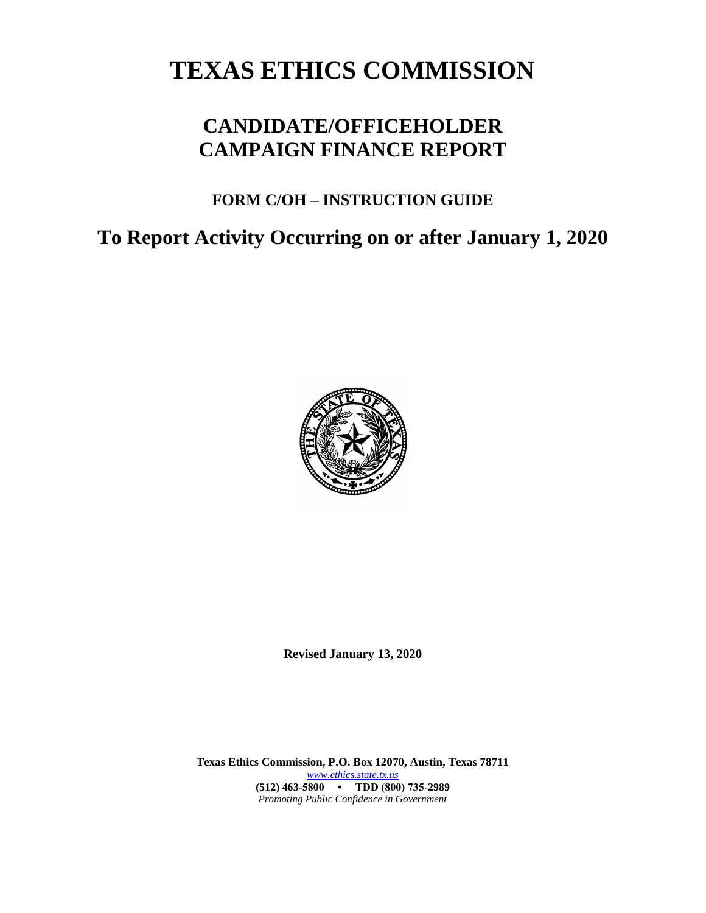# **TEXAS ETHICS COMMISSION**

# **CANDIDATE/OFFICEHOLDER CAMPAIGN FINANCE REPORT**

# **FORM C/OH – INSTRUCTION GUIDE**

# **To Report Activity Occurring on or after January 1, 2020**



**Revised January 13, 2020**

**Texas Ethics Commission, P.O. Box 12070, Austin, Texas 78711** *[www.ethics.state.tx.us](http://www.ethics.state.tx.us/)* **(512) 463-5800 • TDD (800) 735-2989** *Promoting Public Confidence in Government*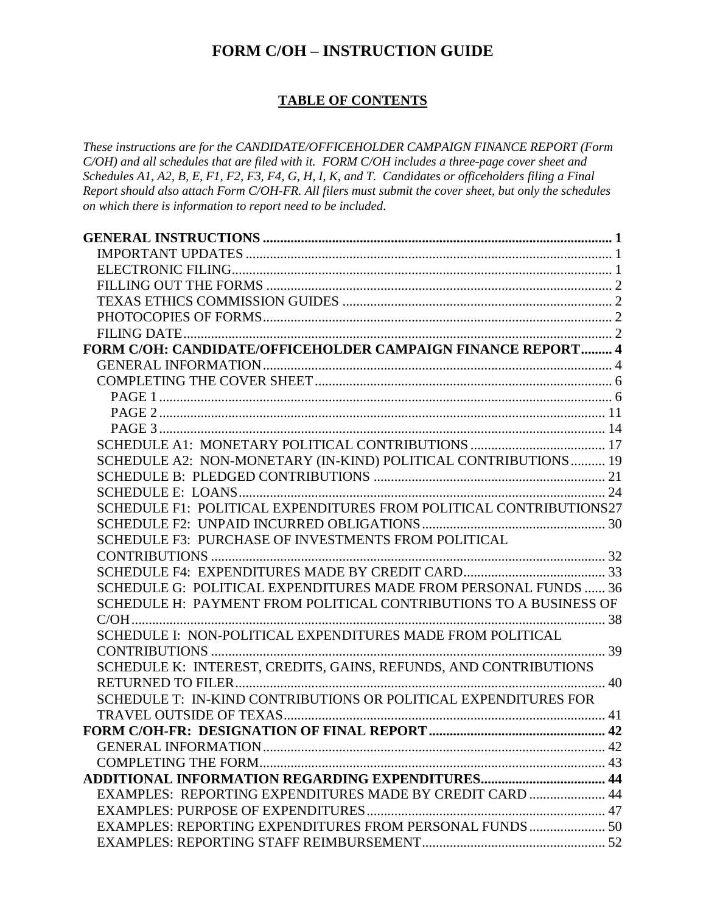# **FORM C/OH – INSTRUCTION GUIDE**

### **TABLE OF CONTENTS**

*These instructions are for the CANDIDATE/OFFICEHOLDER CAMPAIGN FINANCE REPORT (Form C/OH) and all schedules that are filed with it. FORM C/OH includes a three-page cover sheet and Schedules A1, A2, B, E, F1, F2, F3, F4, G, H, I, K, and T. Candidates or officeholders filing a Final Report should also attach Form C/OH-FR. All filers must submit the cover sheet, but only the schedules on which there is information to report need to be included.*

| FORM C/OH: CANDIDATE/OFFICEHOLDER CAMPAIGN FINANCE REPORT 4        |  |
|--------------------------------------------------------------------|--|
|                                                                    |  |
|                                                                    |  |
|                                                                    |  |
|                                                                    |  |
|                                                                    |  |
|                                                                    |  |
| SCHEDULE A2: NON-MONETARY (IN-KIND) POLITICAL CONTRIBUTIONS  19    |  |
|                                                                    |  |
|                                                                    |  |
| SCHEDULE F1: POLITICAL EXPENDITURES FROM POLITICAL CONTRIBUTIONS27 |  |
|                                                                    |  |
| SCHEDULE F3: PURCHASE OF INVESTMENTS FROM POLITICAL                |  |
|                                                                    |  |
|                                                                    |  |
| SCHEDULE G: POLITICAL EXPENDITURES MADE FROM PERSONAL FUNDS  36    |  |
| SCHEDULE H: PAYMENT FROM POLITICAL CONTRIBUTIONS TO A BUSINESS OF  |  |
|                                                                    |  |
| SCHEDULE I: NON-POLITICAL EXPENDITURES MADE FROM POLITICAL         |  |
|                                                                    |  |
| SCHEDULE K: INTEREST, CREDITS, GAINS, REFUNDS, AND CONTRIBUTIONS   |  |
|                                                                    |  |
| SCHEDULE T: IN-KIND CONTRIBUTIONS OR POLITICAL EXPENDITURES FOR    |  |
|                                                                    |  |
|                                                                    |  |
|                                                                    |  |
|                                                                    |  |
|                                                                    |  |
| EXAMPLES: REPORTING EXPENDITURES MADE BY CREDIT CARD  44           |  |
|                                                                    |  |
| EXAMPLES: REPORTING EXPENDITURES FROM PERSONAL FUNDS  50           |  |
|                                                                    |  |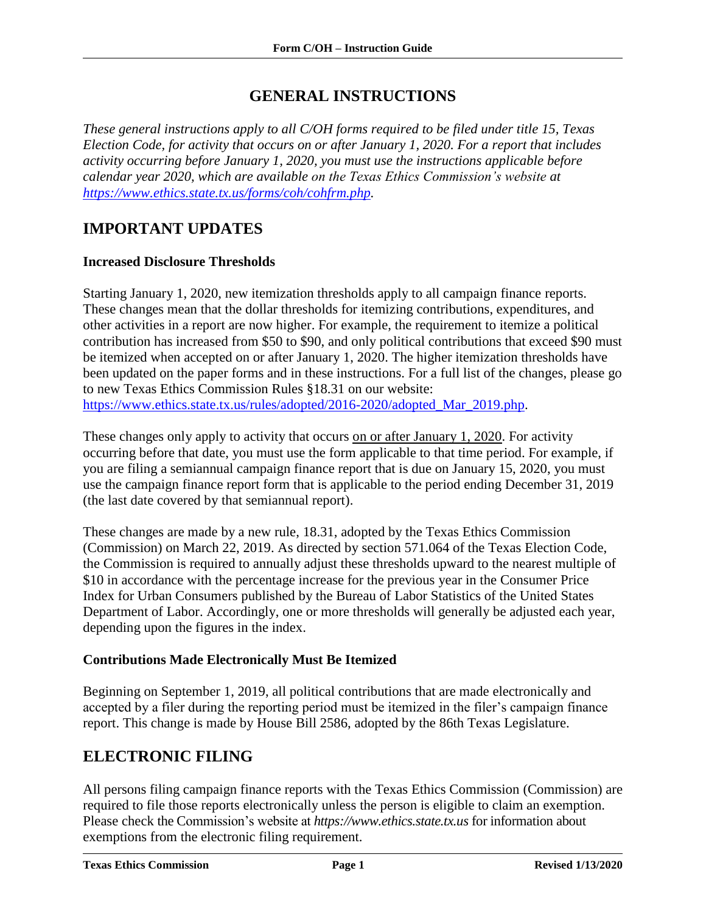## **GENERAL INSTRUCTIONS**

<span id="page-2-0"></span>*These general instructions apply to all C/OH forms required to be filed under title 15, Texas Election Code, for activity that occurs on or after January 1, 2020. For a report that includes activity occurring before January 1, 2020, you must use the instructions applicable before calendar year 2020, which are available on the Texas Ethics Commission's website at [https://www.ethics.state.tx.us/forms/coh/cohfrm.php.](https://www.ethics.state.tx.us/forms/coh/cohfrm.php)*

## <span id="page-2-1"></span>**IMPORTANT UPDATES**

#### **Increased Disclosure Thresholds**

Starting January 1, 2020, new itemization thresholds apply to all campaign finance reports. These changes mean that the dollar thresholds for itemizing contributions, expenditures, and other activities in a report are now higher. For example, the requirement to itemize a political contribution has increased from \$50 to \$90, and only political contributions that exceed \$90 must be itemized when accepted on or after January 1, 2020. The higher itemization thresholds have been updated on the paper forms and in these instructions. For a full list of the changes, please go to new Texas Ethics Commission Rules §18.31 on our website: [https://www.ethics.state.tx.us/rules/adopted/2016-2020/adopted\\_Mar\\_2019.php.](https://www.ethics.state.tx.us/rules/adopted/2016-2020/adopted_Mar_2019.php)

These changes only apply to activity that occurs on or after January 1, 2020. For activity occurring before that date, you must use the form applicable to that time period. For example, if you are filing a semiannual campaign finance report that is due on January 15, 2020, you must use the campaign finance report form that is applicable to the period ending December 31, 2019 (the last date covered by that semiannual report).

These changes are made by a new rule, 18.31, adopted by the Texas Ethics Commission (Commission) on March 22, 2019. As directed by section 571.064 of the Texas Election Code, the Commission is required to annually adjust these thresholds upward to the nearest multiple of \$10 in accordance with the percentage increase for the previous year in the Consumer Price Index for Urban Consumers published by the Bureau of Labor Statistics of the United States Department of Labor. Accordingly, one or more thresholds will generally be adjusted each year, depending upon the figures in the index.

### **Contributions Made Electronically Must Be Itemized**

Beginning on September 1, 2019, all political contributions that are made electronically and accepted by a filer during the reporting period must be itemized in the filer's campaign finance report. This change is made by House Bill 2586, adopted by the 86th Texas Legislature.

# <span id="page-2-2"></span>**ELECTRONIC FILING**

All persons filing campaign finance reports with the Texas Ethics Commission (Commission) are required to file those reports electronically unless the person is eligible to claim an exemption. Please check the Commission's website at *https://www.ethics.state.tx.us* for information about exemptions from the electronic filing requirement.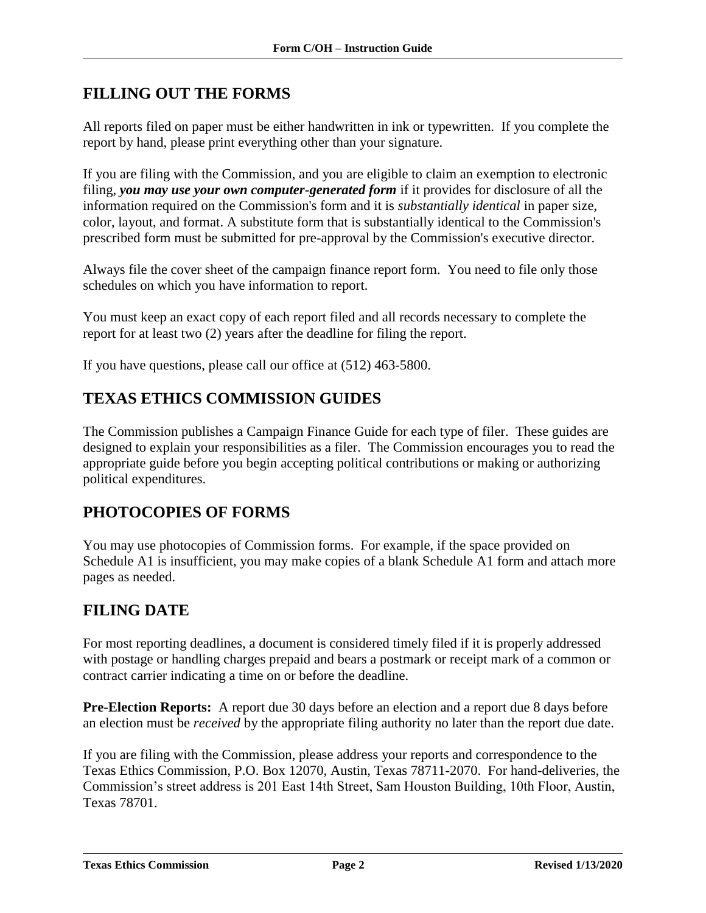# <span id="page-3-0"></span>**FILLING OUT THE FORMS**

All reports filed on paper must be either handwritten in ink or typewritten. If you complete the report by hand, please print everything other than your signature.

If you are filing with the Commission, and you are eligible to claim an exemption to electronic filing, *you may use your own computer-generated form* if it provides for disclosure of all the information required on the Commission's form and it is *substantially identical* in paper size, color, layout, and format. A substitute form that is substantially identical to the Commission's prescribed form must be submitted for pre-approval by the Commission's executive director.

Always file the cover sheet of the campaign finance report form. You need to file only those schedules on which you have information to report.

You must keep an exact copy of each report filed and all records necessary to complete the report for at least two (2) years after the deadline for filing the report.

If you have questions, please call our office at (512) 463-5800.

### <span id="page-3-1"></span>**TEXAS ETHICS COMMISSION GUIDES**

The Commission publishes a Campaign Finance Guide for each type of filer. These guides are designed to explain your responsibilities as a filer. The Commission encourages you to read the appropriate guide before you begin accepting political contributions or making or authorizing political expenditures.

### <span id="page-3-2"></span>**PHOTOCOPIES OF FORMS**

You may use photocopies of Commission forms. For example, if the space provided on Schedule A1 is insufficient, you may make copies of a blank Schedule A1 form and attach more pages as needed.

### <span id="page-3-3"></span>**FILING DATE**

For most reporting deadlines, a document is considered timely filed if it is properly addressed with postage or handling charges prepaid and bears a postmark or receipt mark of a common or contract carrier indicating a time on or before the deadline.

**Pre-Election Reports:** A report due 30 days before an election and a report due 8 days before an election must be *received* by the appropriate filing authority no later than the report due date.

If you are filing with the Commission, please address your reports and correspondence to the Texas Ethics Commission, P.O. Box 12070, Austin, Texas 78711-2070. For hand-deliveries, the Commission's street address is 201 East 14th Street, Sam Houston Building, 10th Floor, Austin, Texas 78701.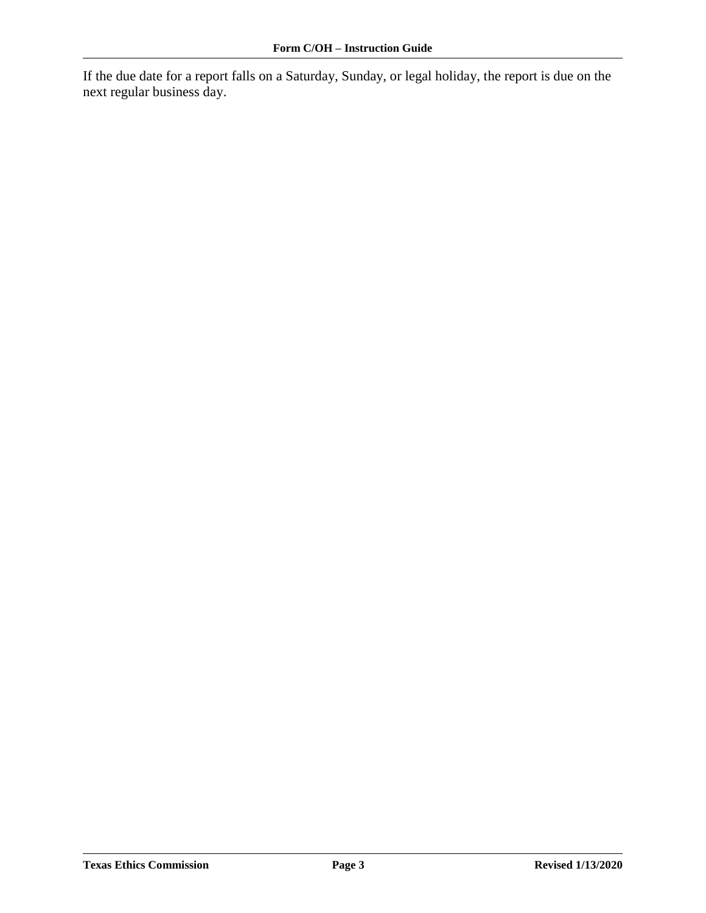If the due date for a report falls on a Saturday, Sunday, or legal holiday, the report is due on the next regular business day.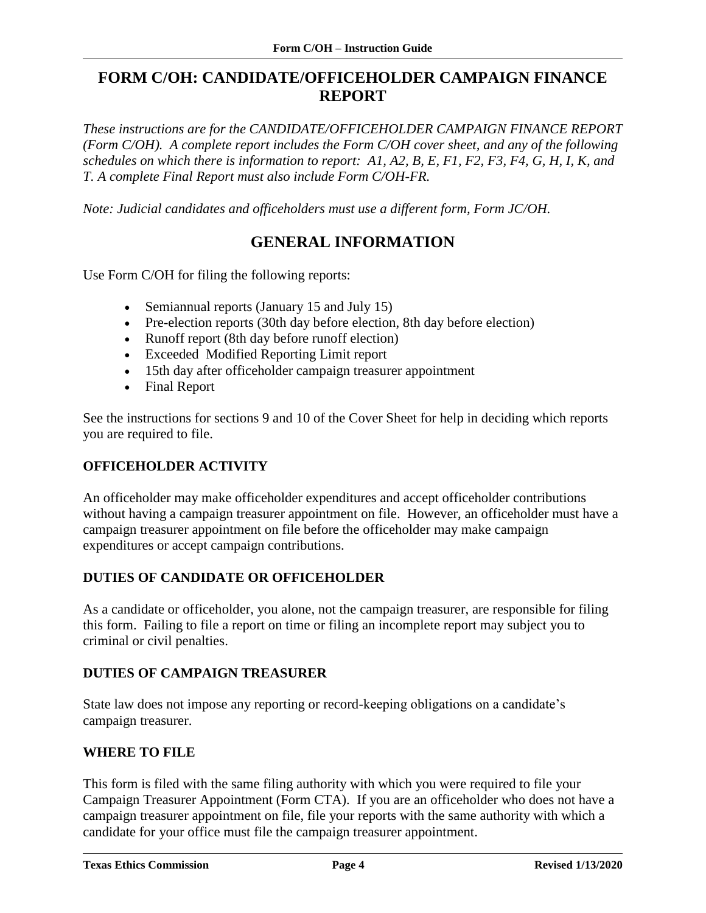# <span id="page-5-0"></span>**FORM C/OH: CANDIDATE/OFFICEHOLDER CAMPAIGN FINANCE REPORT**

*These instructions are for the CANDIDATE/OFFICEHOLDER CAMPAIGN FINANCE REPORT (Form C/OH). A complete report includes the Form C/OH cover sheet, and any of the following schedules on which there is information to report: A1, A2, B, E, F1, F2, F3, F4, G, H, I, K, and T. A complete Final Report must also include Form C/OH-FR.*

<span id="page-5-1"></span>*Note: Judicial candidates and officeholders must use a different form, Form JC/OH.*

### **GENERAL INFORMATION**

Use Form C/OH for filing the following reports:

- Semiannual reports (January 15 and July 15)
- Pre-election reports (30th day before election, 8th day before election)
- Runoff report (8th day before runoff election)
- Exceeded Modified Reporting Limit report
- 15th day after officeholder campaign treasurer appointment
- Final Report

See the instructions for sections 9 and 10 of the Cover Sheet for help in deciding which reports you are required to file.

### **OFFICEHOLDER ACTIVITY**

An officeholder may make officeholder expenditures and accept officeholder contributions without having a campaign treasurer appointment on file. However, an officeholder must have a campaign treasurer appointment on file before the officeholder may make campaign expenditures or accept campaign contributions.

### **DUTIES OF CANDIDATE OR OFFICEHOLDER**

As a candidate or officeholder, you alone, not the campaign treasurer, are responsible for filing this form. Failing to file a report on time or filing an incomplete report may subject you to criminal or civil penalties.

### **DUTIES OF CAMPAIGN TREASURER**

State law does not impose any reporting or record-keeping obligations on a candidate's campaign treasurer.

### **WHERE TO FILE**

This form is filed with the same filing authority with which you were required to file your Campaign Treasurer Appointment (Form CTA). If you are an officeholder who does not have a campaign treasurer appointment on file, file your reports with the same authority with which a candidate for your office must file the campaign treasurer appointment.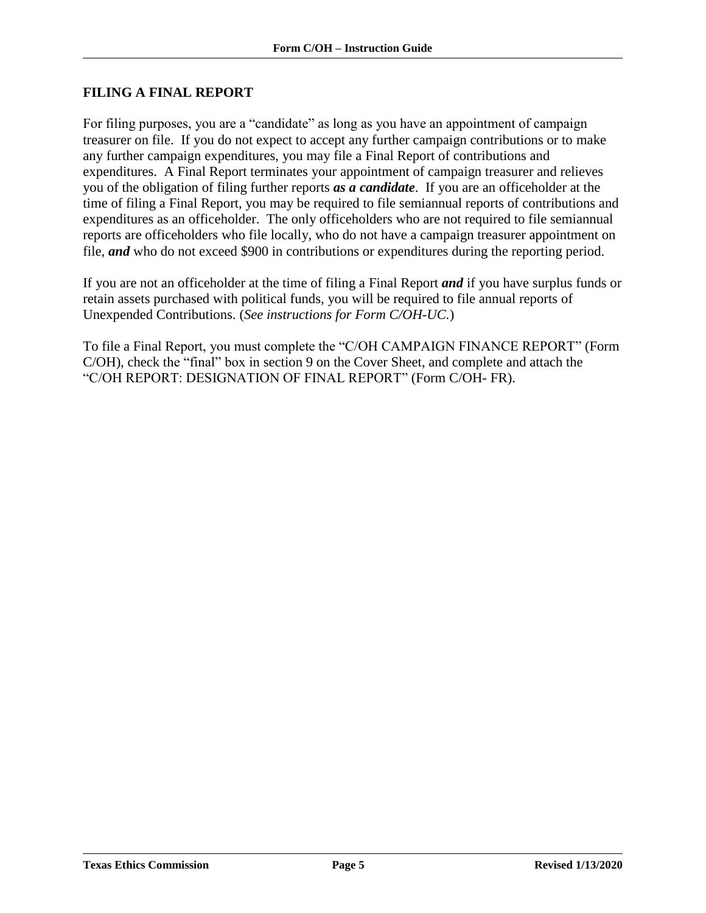### **FILING A FINAL REPORT**

For filing purposes, you are a "candidate" as long as you have an appointment of campaign treasurer on file. If you do not expect to accept any further campaign contributions or to make any further campaign expenditures, you may file a Final Report of contributions and expenditures. A Final Report terminates your appointment of campaign treasurer and relieves you of the obligation of filing further reports *as a candidate*. If you are an officeholder at the time of filing a Final Report, you may be required to file semiannual reports of contributions and expenditures as an officeholder. The only officeholders who are not required to file semiannual reports are officeholders who file locally, who do not have a campaign treasurer appointment on file, *and* who do not exceed \$900 in contributions or expenditures during the reporting period.

If you are not an officeholder at the time of filing a Final Report *and* if you have surplus funds or retain assets purchased with political funds, you will be required to file annual reports of Unexpended Contributions. (*See instructions for Form C/OH-UC.*)

To file a Final Report, you must complete the "C/OH CAMPAIGN FINANCE REPORT" (Form C/OH), check the "final" box in section 9 on the Cover Sheet, and complete and attach the "C/OH REPORT: DESIGNATION OF FINAL REPORT" (Form C/OH- FR).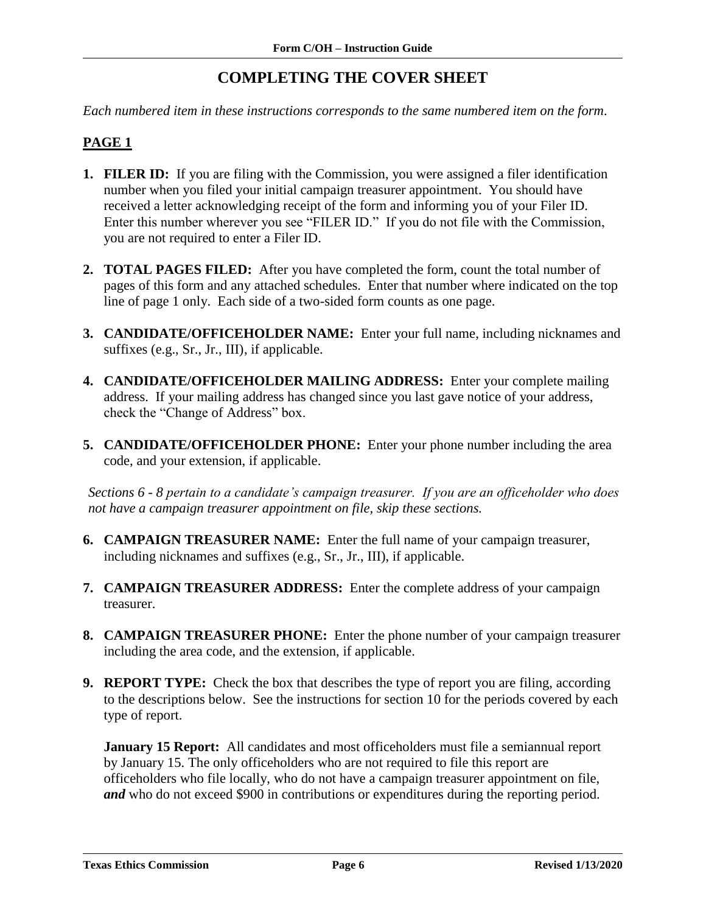# **COMPLETING THE COVER SHEET**

<span id="page-7-0"></span>*Each numbered item in these instructions corresponds to the same numbered item on the form.*

### <span id="page-7-1"></span>**PAGE 1**

- **1. FILER ID:** If you are filing with the Commission, you were assigned a filer identification number when you filed your initial campaign treasurer appointment. You should have received a letter acknowledging receipt of the form and informing you of your Filer ID. Enter this number wherever you see "FILER ID." If you do not file with the Commission, you are not required to enter a Filer ID.
- **2. TOTAL PAGES FILED:** After you have completed the form, count the total number of pages of this form and any attached schedules. Enter that number where indicated on the top line of page 1 only. Each side of a two-sided form counts as one page.
- **3. CANDIDATE/OFFICEHOLDER NAME:** Enter your full name, including nicknames and suffixes (e.g., Sr., Jr., III), if applicable.
- **4. CANDIDATE/OFFICEHOLDER MAILING ADDRESS:** Enter your complete mailing address. If your mailing address has changed since you last gave notice of your address, check the "Change of Address" box.
- **5. CANDIDATE/OFFICEHOLDER PHONE:** Enter your phone number including the area code, and your extension, if applicable.

*Sections 6 - 8 pertain to a candidate's campaign treasurer. If you are an officeholder who does not have a campaign treasurer appointment on file, skip these sections.*

- **6. CAMPAIGN TREASURER NAME:** Enter the full name of your campaign treasurer, including nicknames and suffixes (e.g., Sr., Jr., III), if applicable.
- **7. CAMPAIGN TREASURER ADDRESS:** Enter the complete address of your campaign treasurer.
- **8. CAMPAIGN TREASURER PHONE:** Enter the phone number of your campaign treasurer including the area code, and the extension, if applicable.
- **9. REPORT TYPE:** Check the box that describes the type of report you are filing, according to the descriptions below. See the instructions for section 10 for the periods covered by each type of report.

**January 15 Report:** All candidates and most officeholders must file a semiannual report by January 15. The only officeholders who are not required to file this report are officeholders who file locally, who do not have a campaign treasurer appointment on file, *and* who do not exceed \$900 in contributions or expenditures during the reporting period.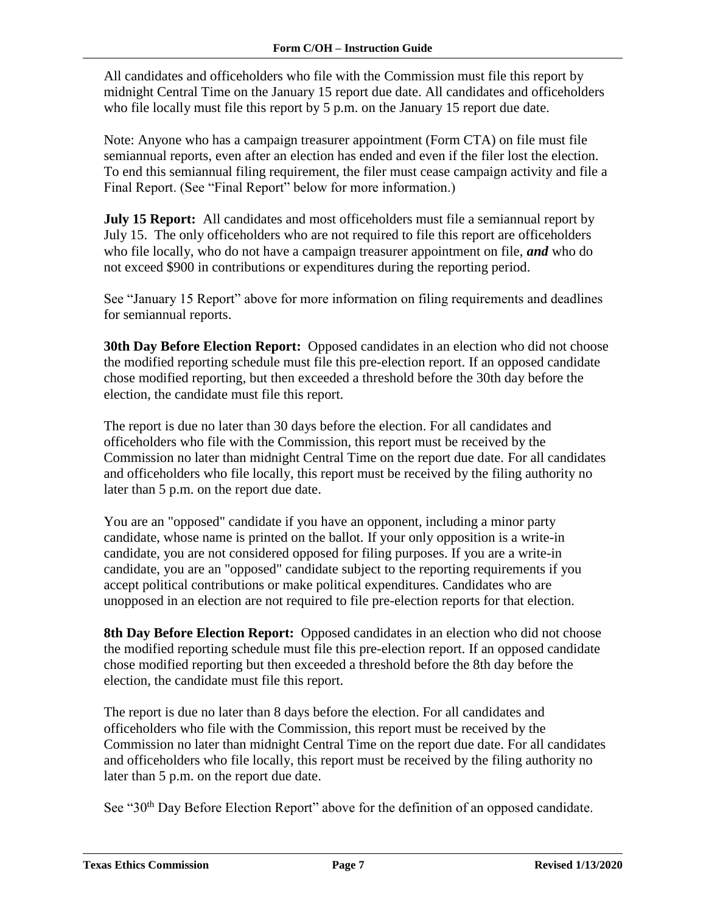All candidates and officeholders who file with the Commission must file this report by midnight Central Time on the January 15 report due date. All candidates and officeholders who file locally must file this report by 5 p.m. on the January 15 report due date.

Note: Anyone who has a campaign treasurer appointment (Form CTA) on file must file semiannual reports, even after an election has ended and even if the filer lost the election. To end this semiannual filing requirement, the filer must cease campaign activity and file a Final Report. (See "Final Report" below for more information.)

**July 15 Report:** All candidates and most officeholders must file a semiannual report by July 15. The only officeholders who are not required to file this report are officeholders who file locally, who do not have a campaign treasurer appointment on file, *and* who do not exceed \$900 in contributions or expenditures during the reporting period.

See "January 15 Report" above for more information on filing requirements and deadlines for semiannual reports.

**30th Day Before Election Report:** Opposed candidates in an election who did not choose the modified reporting schedule must file this pre-election report. If an opposed candidate chose modified reporting, but then exceeded a threshold before the 30th day before the election, the candidate must file this report.

The report is due no later than 30 days before the election. For all candidates and officeholders who file with the Commission, this report must be received by the Commission no later than midnight Central Time on the report due date. For all candidates and officeholders who file locally, this report must be received by the filing authority no later than 5 p.m. on the report due date.

You are an "opposed" candidate if you have an opponent, including a minor party candidate, whose name is printed on the ballot. If your only opposition is a write-in candidate, you are not considered opposed for filing purposes. If you are a write-in candidate, you are an "opposed" candidate subject to the reporting requirements if you accept political contributions or make political expenditures. Candidates who are unopposed in an election are not required to file pre-election reports for that election.

**8th Day Before Election Report:** Opposed candidates in an election who did not choose the modified reporting schedule must file this pre-election report. If an opposed candidate chose modified reporting but then exceeded a threshold before the 8th day before the election, the candidate must file this report.

The report is due no later than 8 days before the election. For all candidates and officeholders who file with the Commission, this report must be received by the Commission no later than midnight Central Time on the report due date. For all candidates and officeholders who file locally, this report must be received by the filing authority no later than 5 p.m. on the report due date.

See "30<sup>th</sup> Day Before Election Report" above for the definition of an opposed candidate.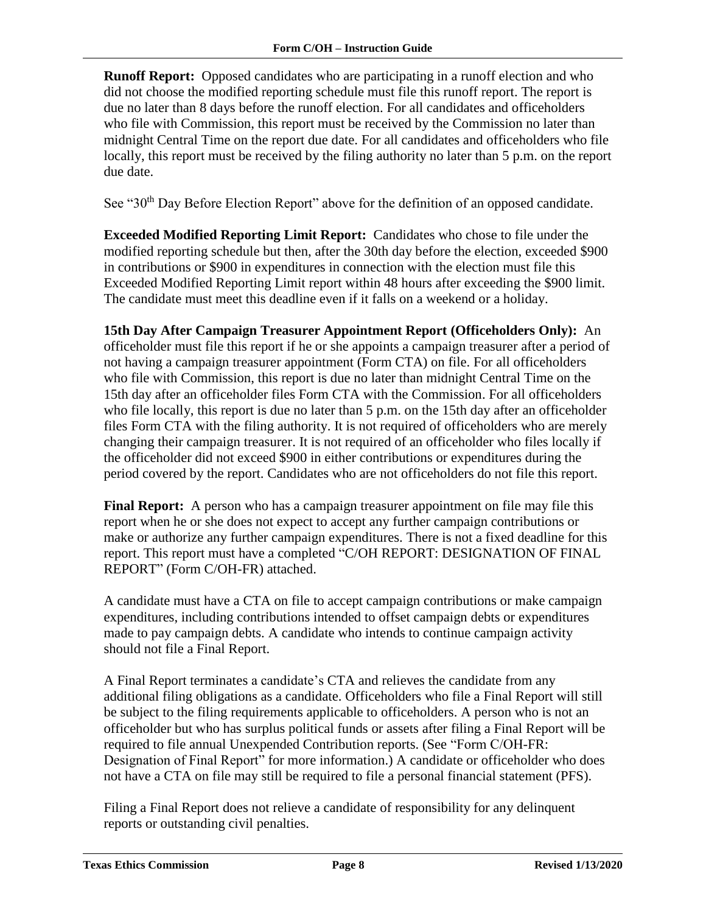**Runoff Report:** Opposed candidates who are participating in a runoff election and who did not choose the modified reporting schedule must file this runoff report. The report is due no later than 8 days before the runoff election. For all candidates and officeholders who file with Commission, this report must be received by the Commission no later than midnight Central Time on the report due date. For all candidates and officeholders who file locally, this report must be received by the filing authority no later than 5 p.m. on the report due date.

See "30<sup>th</sup> Day Before Election Report" above for the definition of an opposed candidate.

**Exceeded Modified Reporting Limit Report:** Candidates who chose to file under the modified reporting schedule but then, after the 30th day before the election, exceeded \$900 in contributions or \$900 in expenditures in connection with the election must file this Exceeded Modified Reporting Limit report within 48 hours after exceeding the \$900 limit. The candidate must meet this deadline even if it falls on a weekend or a holiday.

**15th Day After Campaign Treasurer Appointment Report (Officeholders Only):** An officeholder must file this report if he or she appoints a campaign treasurer after a period of not having a campaign treasurer appointment (Form CTA) on file. For all officeholders who file with Commission, this report is due no later than midnight Central Time on the 15th day after an officeholder files Form CTA with the Commission. For all officeholders who file locally, this report is due no later than 5 p.m. on the 15th day after an officeholder files Form CTA with the filing authority. It is not required of officeholders who are merely changing their campaign treasurer. It is not required of an officeholder who files locally if the officeholder did not exceed \$900 in either contributions or expenditures during the period covered by the report. Candidates who are not officeholders do not file this report.

**Final Report:** A person who has a campaign treasurer appointment on file may file this report when he or she does not expect to accept any further campaign contributions or make or authorize any further campaign expenditures. There is not a fixed deadline for this report. This report must have a completed "C/OH REPORT: DESIGNATION OF FINAL REPORT" (Form C/OH-FR) attached.

A candidate must have a CTA on file to accept campaign contributions or make campaign expenditures, including contributions intended to offset campaign debts or expenditures made to pay campaign debts. A candidate who intends to continue campaign activity should not file a Final Report.

A Final Report terminates a candidate's CTA and relieves the candidate from any additional filing obligations as a candidate. Officeholders who file a Final Report will still be subject to the filing requirements applicable to officeholders. A person who is not an officeholder but who has surplus political funds or assets after filing a Final Report will be required to file annual Unexpended Contribution reports. (See "Form C/OH-FR: Designation of Final Report" for more information.) A candidate or officeholder who does not have a CTA on file may still be required to file a personal financial statement (PFS).

Filing a Final Report does not relieve a candidate of responsibility for any delinquent reports or outstanding civil penalties.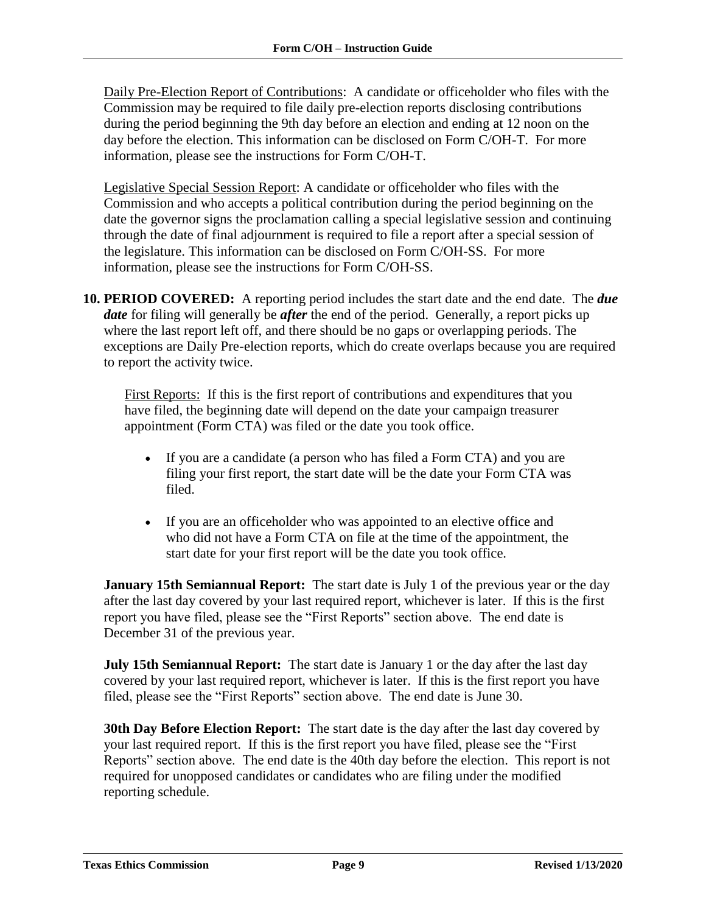Daily Pre-Election Report of Contributions: A candidate or officeholder who files with the Commission may be required to file daily pre-election reports disclosing contributions during the period beginning the 9th day before an election and ending at 12 noon on the day before the election. This information can be disclosed on Form C/OH-T. For more information, please see the instructions for Form C/OH-T.

Legislative Special Session Report: A candidate or officeholder who files with the Commission and who accepts a political contribution during the period beginning on the date the governor signs the proclamation calling a special legislative session and continuing through the date of final adjournment is required to file a report after a special session of the legislature. This information can be disclosed on Form C/OH-SS. For more information, please see the instructions for Form C/OH-SS.

**10. PERIOD COVERED:** A reporting period includes the start date and the end date. The *due date* for filing will generally be *after* the end of the period. Generally, a report picks up where the last report left off, and there should be no gaps or overlapping periods. The exceptions are Daily Pre-election reports, which do create overlaps because you are required to report the activity twice.

First Reports:If this is the first report of contributions and expenditures that you have filed, the beginning date will depend on the date your campaign treasurer appointment (Form CTA) was filed or the date you took office.

- If you are a candidate (a person who has filed a Form CTA) and you are filing your first report, the start date will be the date your Form CTA was filed.
- If you are an officeholder who was appointed to an elective office and who did not have a Form CTA on file at the time of the appointment, the start date for your first report will be the date you took office.

**January 15th Semiannual Report:** The start date is July 1 of the previous year or the day after the last day covered by your last required report, whichever is later. If this is the first report you have filed, please see the "First Reports" section above. The end date is December 31 of the previous year.

**July 15th Semiannual Report:** The start date is January 1 or the day after the last day covered by your last required report, whichever is later. If this is the first report you have filed, please see the "First Reports" section above. The end date is June 30.

**30th Day Before Election Report:** The start date is the day after the last day covered by your last required report. If this is the first report you have filed, please see the "First Reports" section above. The end date is the 40th day before the election. This report is not required for unopposed candidates or candidates who are filing under the modified reporting schedule.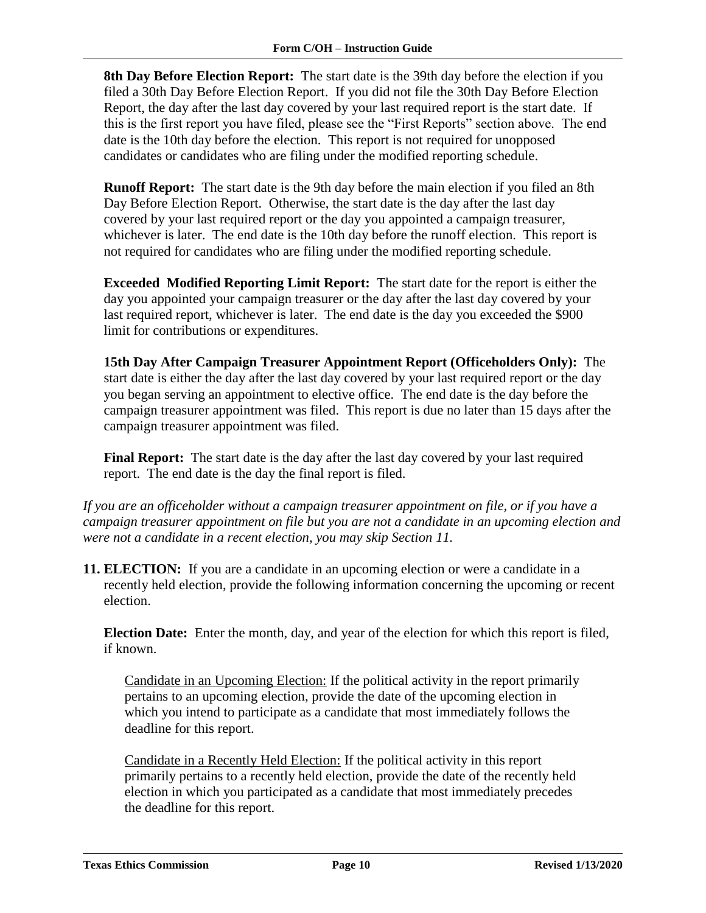**8th Day Before Election Report:** The start date is the 39th day before the election if you filed a 30th Day Before Election Report. If you did not file the 30th Day Before Election Report, the day after the last day covered by your last required report is the start date. If this is the first report you have filed, please see the "First Reports" section above. The end date is the 10th day before the election. This report is not required for unopposed candidates or candidates who are filing under the modified reporting schedule.

**Runoff Report:** The start date is the 9th day before the main election if you filed an 8th Day Before Election Report. Otherwise, the start date is the day after the last day covered by your last required report or the day you appointed a campaign treasurer, whichever is later. The end date is the 10th day before the runoff election. This report is not required for candidates who are filing under the modified reporting schedule.

**Exceeded Modified Reporting Limit Report:** The start date for the report is either the day you appointed your campaign treasurer or the day after the last day covered by your last required report, whichever is later. The end date is the day you exceeded the \$900 limit for contributions or expenditures.

**15th Day After Campaign Treasurer Appointment Report (Officeholders Only):** The start date is either the day after the last day covered by your last required report or the day you began serving an appointment to elective office. The end date is the day before the campaign treasurer appointment was filed. This report is due no later than 15 days after the campaign treasurer appointment was filed.

**Final Report:** The start date is the day after the last day covered by your last required report. The end date is the day the final report is filed.

*If you are an officeholder without a campaign treasurer appointment on file, or if you have a campaign treasurer appointment on file but you are not a candidate in an upcoming election and were not a candidate in a recent election, you may skip Section 11.*

**11. ELECTION:** If you are a candidate in an upcoming election or were a candidate in a recently held election, provide the following information concerning the upcoming or recent election.

**Election Date:** Enter the month, day, and year of the election for which this report is filed, if known.

Candidate in an Upcoming Election: If the political activity in the report primarily pertains to an upcoming election, provide the date of the upcoming election in which you intend to participate as a candidate that most immediately follows the deadline for this report.

Candidate in a Recently Held Election: If the political activity in this report primarily pertains to a recently held election, provide the date of the recently held election in which you participated as a candidate that most immediately precedes the deadline for this report.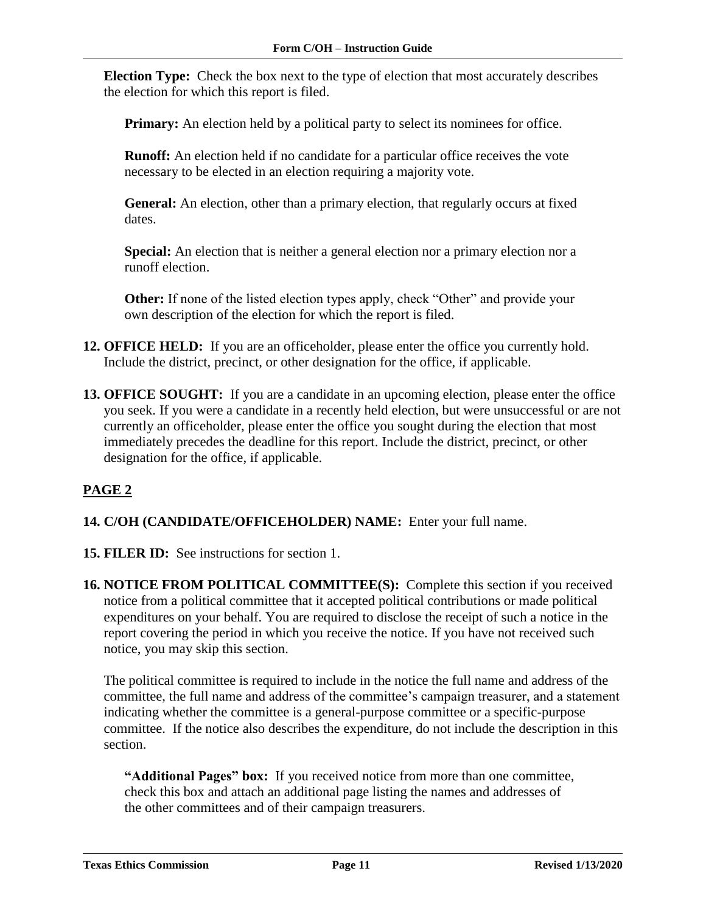**Election Type:** Check the box next to the type of election that most accurately describes the election for which this report is filed.

**Primary:** An election held by a political party to select its nominees for office.

**Runoff:** An election held if no candidate for a particular office receives the vote necessary to be elected in an election requiring a majority vote.

**General:** An election, other than a primary election, that regularly occurs at fixed dates.

**Special:** An election that is neither a general election nor a primary election nor a runoff election.

**Other:** If none of the listed election types apply, check "Other" and provide your own description of the election for which the report is filed.

- **12. OFFICE HELD:** If you are an officeholder, please enter the office you currently hold. Include the district, precinct, or other designation for the office, if applicable.
- **13. OFFICE SOUGHT:** If you are a candidate in an upcoming election, please enter the office you seek. If you were a candidate in a recently held election, but were unsuccessful or are not currently an officeholder, please enter the office you sought during the election that most immediately precedes the deadline for this report. Include the district, precinct, or other designation for the office, if applicable.

### <span id="page-12-0"></span>**PAGE 2**

- **14. C/OH (CANDIDATE/OFFICEHOLDER) NAME:** Enter your full name.
- **15. FILER ID:** See instructions for section 1.
- **16. NOTICE FROM POLITICAL COMMITTEE(S):** Complete this section if you received notice from a political committee that it accepted political contributions or made political expenditures on your behalf. You are required to disclose the receipt of such a notice in the report covering the period in which you receive the notice. If you have not received such notice, you may skip this section.

The political committee is required to include in the notice the full name and address of the committee, the full name and address of the committee's campaign treasurer, and a statement indicating whether the committee is a general-purpose committee or a specific-purpose committee. If the notice also describes the expenditure, do not include the description in this section.

**"Additional Pages" box:** If you received notice from more than one committee, check this box and attach an additional page listing the names and addresses of the other committees and of their campaign treasurers.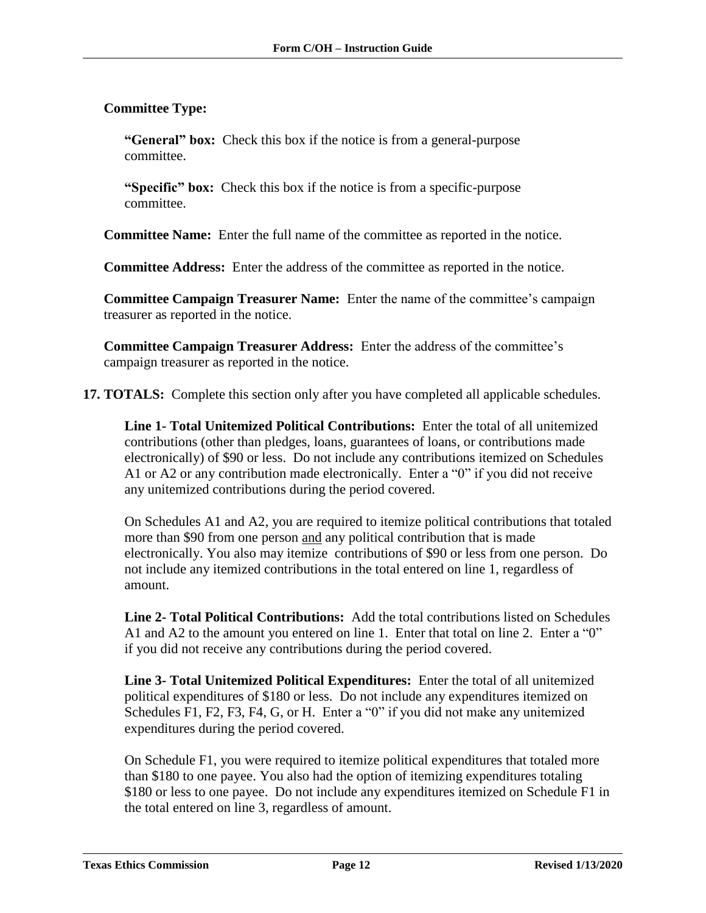### **Committee Type:**

**"General" box:** Check this box if the notice is from a general-purpose committee.

**"Specific" box:** Check this box if the notice is from a specific-purpose committee.

**Committee Name:** Enter the full name of the committee as reported in the notice.

**Committee Address:** Enter the address of the committee as reported in the notice.

**Committee Campaign Treasurer Name:** Enter the name of the committee's campaign treasurer as reported in the notice.

**Committee Campaign Treasurer Address:** Enter the address of the committee's campaign treasurer as reported in the notice.

**17. TOTALS:** Complete this section only after you have completed all applicable schedules.

**Line 1- Total Unitemized Political Contributions:** Enter the total of all unitemized contributions (other than pledges, loans, guarantees of loans, or contributions made electronically) of \$90 or less. Do not include any contributions itemized on Schedules A1 or A2 or any contribution made electronically. Enter a "0" if you did not receive any unitemized contributions during the period covered.

On Schedules A1 and A2, you are required to itemize political contributions that totaled more than \$90 from one person and any political contribution that is made electronically. You also may itemize contributions of \$90 or less from one person. Do not include any itemized contributions in the total entered on line 1, regardless of amount.

**Line 2- Total Political Contributions:** Add the total contributions listed on Schedules A1 and A2 to the amount you entered on line 1. Enter that total on line 2. Enter a "0" if you did not receive any contributions during the period covered.

**Line 3- Total Unitemized Political Expenditures:** Enter the total of all unitemized political expenditures of \$180 or less. Do not include any expenditures itemized on Schedules F1, F2, F3, F4, G, or H. Enter a "0" if you did not make any unitemized expenditures during the period covered.

On Schedule F1, you were required to itemize political expenditures that totaled more than \$180 to one payee. You also had the option of itemizing expenditures totaling \$180 or less to one payee. Do not include any expenditures itemized on Schedule F1 in the total entered on line 3, regardless of amount.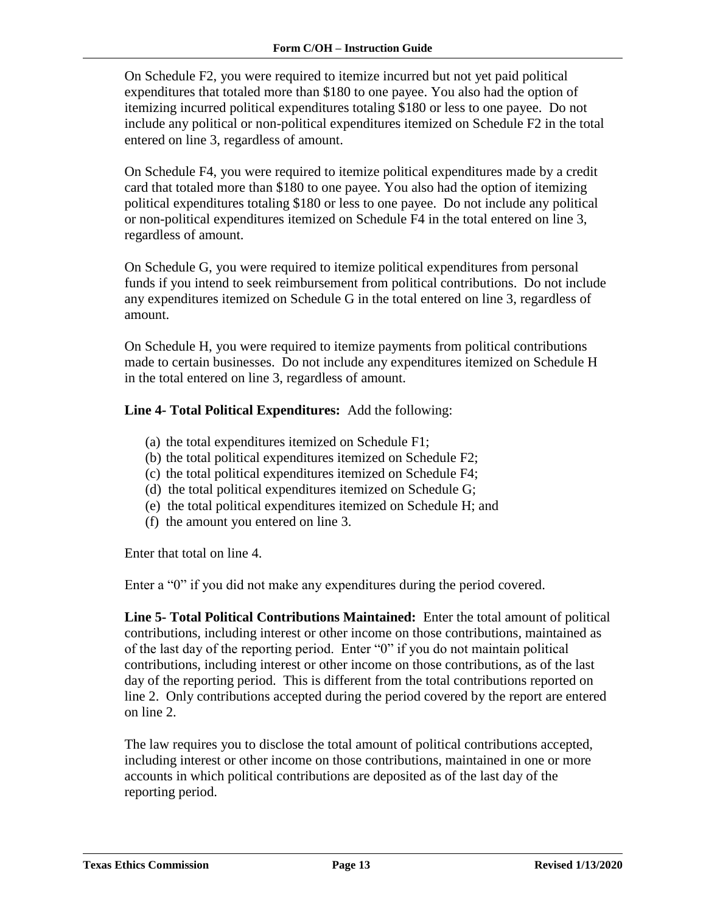On Schedule F2, you were required to itemize incurred but not yet paid political expenditures that totaled more than \$180 to one payee. You also had the option of itemizing incurred political expenditures totaling \$180 or less to one payee. Do not include any political or non-political expenditures itemized on Schedule F2 in the total entered on line 3, regardless of amount.

On Schedule F4, you were required to itemize political expenditures made by a credit card that totaled more than \$180 to one payee. You also had the option of itemizing political expenditures totaling \$180 or less to one payee. Do not include any political or non-political expenditures itemized on Schedule F4 in the total entered on line 3, regardless of amount.

On Schedule G, you were required to itemize political expenditures from personal funds if you intend to seek reimbursement from political contributions. Do not include any expenditures itemized on Schedule G in the total entered on line 3, regardless of amount.

On Schedule H, you were required to itemize payments from political contributions made to certain businesses. Do not include any expenditures itemized on Schedule H in the total entered on line 3, regardless of amount.

**Line 4- Total Political Expenditures:** Add the following:

- (a) the total expenditures itemized on Schedule F1;
- (b) the total political expenditures itemized on Schedule F2;
- (c) the total political expenditures itemized on Schedule F4;
- (d) the total political expenditures itemized on Schedule G;
- (e) the total political expenditures itemized on Schedule H; and
- (f) the amount you entered on line 3.

Enter that total on line 4.

Enter a "0" if you did not make any expenditures during the period covered.

**Line 5- Total Political Contributions Maintained:** Enter the total amount of political contributions, including interest or other income on those contributions, maintained as of the last day of the reporting period. Enter "0" if you do not maintain political contributions, including interest or other income on those contributions, as of the last day of the reporting period. This is different from the total contributions reported on line 2. Only contributions accepted during the period covered by the report are entered on line 2.

The law requires you to disclose the total amount of political contributions accepted, including interest or other income on those contributions, maintained in one or more accounts in which political contributions are deposited as of the last day of the reporting period.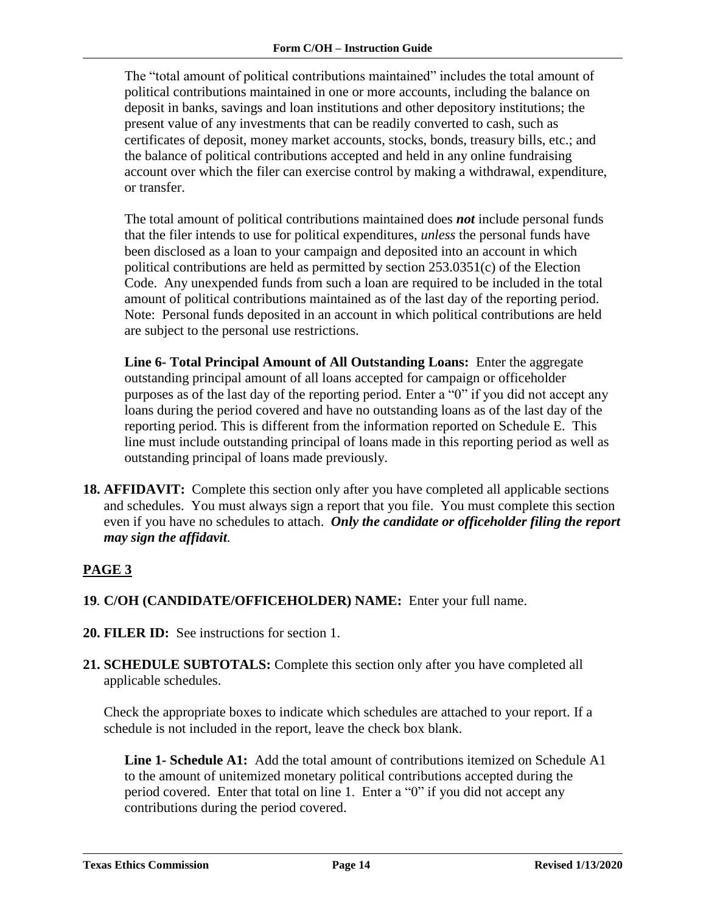The "total amount of political contributions maintained" includes the total amount of political contributions maintained in one or more accounts, including the balance on deposit in banks, savings and loan institutions and other depository institutions; the present value of any investments that can be readily converted to cash, such as certificates of deposit, money market accounts, stocks, bonds, treasury bills, etc.; and the balance of political contributions accepted and held in any online fundraising account over which the filer can exercise control by making a withdrawal, expenditure, or transfer.

The total amount of political contributions maintained does *not* include personal funds that the filer intends to use for political expenditures, *unless* the personal funds have been disclosed as a loan to your campaign and deposited into an account in which political contributions are held as permitted by section 253.0351(c) of the Election Code. Any unexpended funds from such a loan are required to be included in the total amount of political contributions maintained as of the last day of the reporting period. Note: Personal funds deposited in an account in which political contributions are held are subject to the personal use restrictions.

**Line 6- Total Principal Amount of All Outstanding Loans:** Enter the aggregate outstanding principal amount of all loans accepted for campaign or officeholder purposes as of the last day of the reporting period. Enter a "0" if you did not accept any loans during the period covered and have no outstanding loans as of the last day of the reporting period. This is different from the information reported on Schedule E. This line must include outstanding principal of loans made in this reporting period as well as outstanding principal of loans made previously.

**18. AFFIDAVIT:** Complete this section only after you have completed all applicable sections and schedules. You must always sign a report that you file. You must complete this section even if you have no schedules to attach. *Only the candidate or officeholder filing the report may sign the affidavit.*

### <span id="page-15-0"></span>**PAGE 3**

- **19***.* **C/OH (CANDIDATE/OFFICEHOLDER) NAME:** Enter your full name.
- **20. FILER ID:** See instructions for section 1.
- **21. SCHEDULE SUBTOTALS:** Complete this section only after you have completed all applicable schedules.

Check the appropriate boxes to indicate which schedules are attached to your report. If a schedule is not included in the report, leave the check box blank.

**Line 1- Schedule A1:** Add the total amount of contributions itemized on Schedule A1 to the amount of unitemized monetary political contributions accepted during the period covered. Enter that total on line 1. Enter a "0" if you did not accept any contributions during the period covered.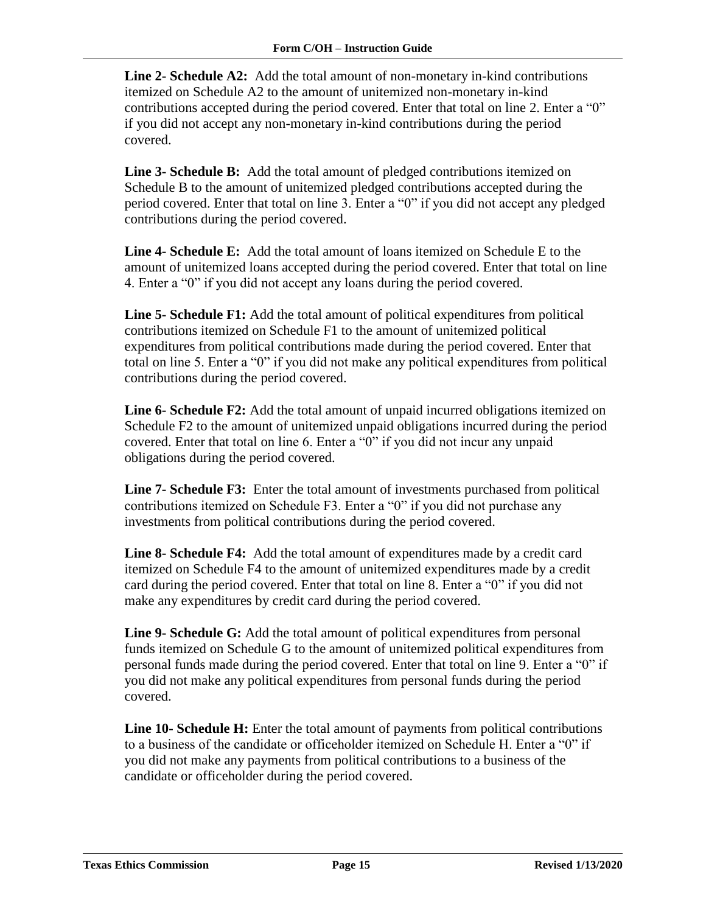**Line 2- Schedule A2:** Add the total amount of non-monetary in-kind contributions itemized on Schedule A2 to the amount of unitemized non-monetary in-kind contributions accepted during the period covered. Enter that total on line 2. Enter a "0" if you did not accept any non-monetary in-kind contributions during the period covered.

**Line 3- Schedule B:** Add the total amount of pledged contributions itemized on Schedule B to the amount of unitemized pledged contributions accepted during the period covered. Enter that total on line 3. Enter a "0" if you did not accept any pledged contributions during the period covered.

**Line 4- Schedule E:** Add the total amount of loans itemized on Schedule E to the amount of unitemized loans accepted during the period covered. Enter that total on line 4. Enter a "0" if you did not accept any loans during the period covered.

**Line 5- Schedule F1:** Add the total amount of political expenditures from political contributions itemized on Schedule F1 to the amount of unitemized political expenditures from political contributions made during the period covered. Enter that total on line 5. Enter a "0" if you did not make any political expenditures from political contributions during the period covered.

**Line 6- Schedule F2:** Add the total amount of unpaid incurred obligations itemized on Schedule F2 to the amount of unitemized unpaid obligations incurred during the period covered. Enter that total on line 6. Enter a "0" if you did not incur any unpaid obligations during the period covered.

**Line 7- Schedule F3:** Enter the total amount of investments purchased from political contributions itemized on Schedule F3. Enter a "0" if you did not purchase any investments from political contributions during the period covered.

**Line 8- Schedule F4:** Add the total amount of expenditures made by a credit card itemized on Schedule F4 to the amount of unitemized expenditures made by a credit card during the period covered. Enter that total on line 8. Enter a "0" if you did not make any expenditures by credit card during the period covered.

**Line 9- Schedule G:** Add the total amount of political expenditures from personal funds itemized on Schedule G to the amount of unitemized political expenditures from personal funds made during the period covered. Enter that total on line 9. Enter a "0" if you did not make any political expenditures from personal funds during the period covered.

**Line 10- Schedule H:** Enter the total amount of payments from political contributions to a business of the candidate or officeholder itemized on Schedule H. Enter a "0" if you did not make any payments from political contributions to a business of the candidate or officeholder during the period covered.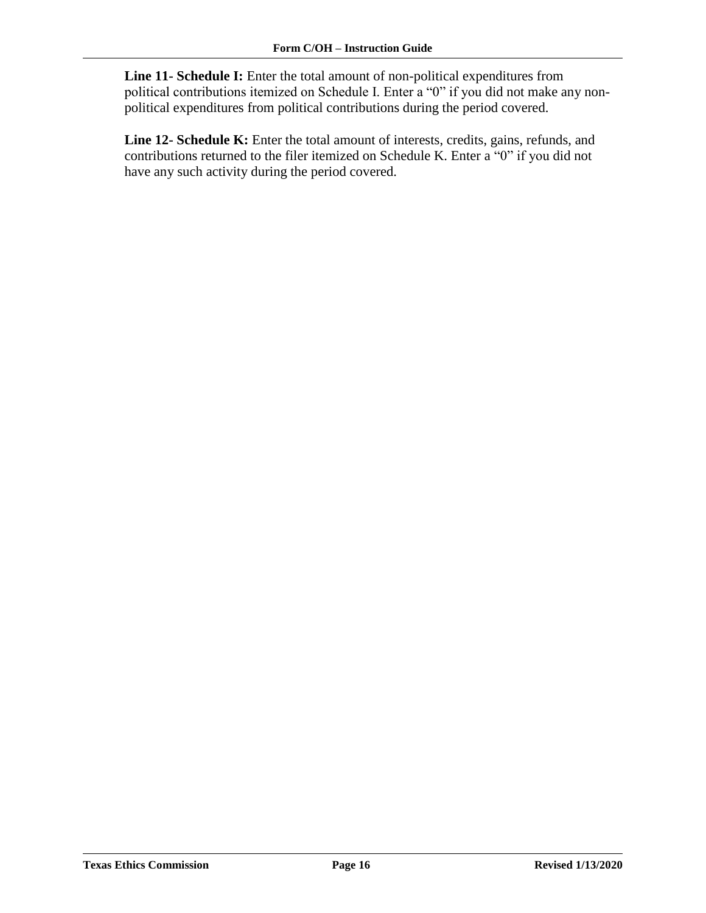**Line 11- Schedule I:** Enter the total amount of non-political expenditures from political contributions itemized on Schedule I. Enter a "0" if you did not make any nonpolitical expenditures from political contributions during the period covered.

**Line 12- Schedule K:** Enter the total amount of interests, credits, gains, refunds, and contributions returned to the filer itemized on Schedule K. Enter a "0" if you did not have any such activity during the period covered.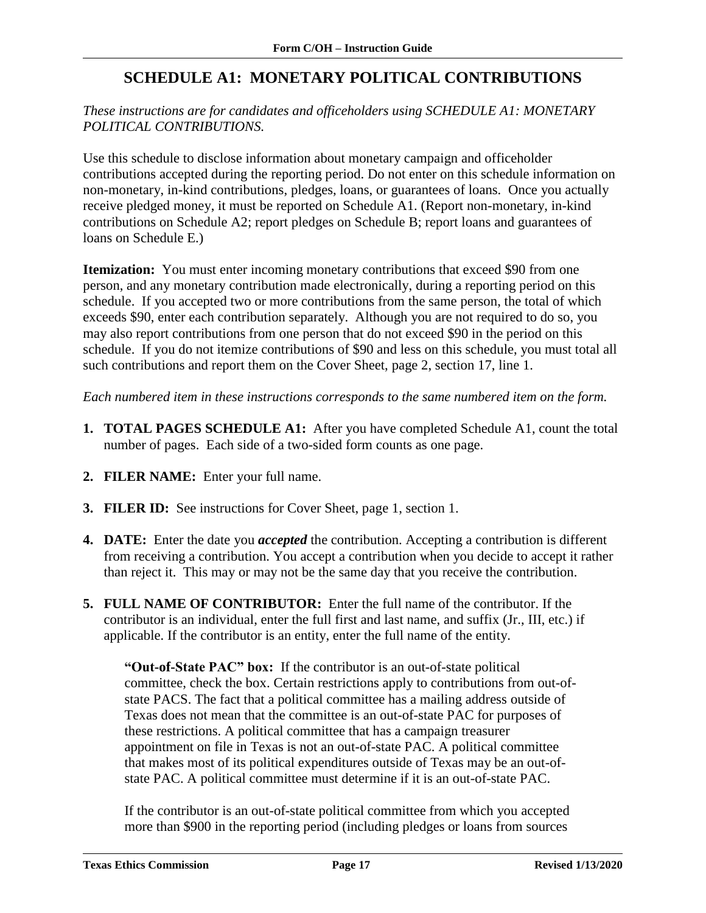# **SCHEDULE A1: MONETARY POLITICAL CONTRIBUTIONS**

### <span id="page-18-0"></span>*These instructions are for candidates and officeholders using SCHEDULE A1: MONETARY POLITICAL CONTRIBUTIONS.*

Use this schedule to disclose information about monetary campaign and officeholder contributions accepted during the reporting period. Do not enter on this schedule information on non-monetary, in-kind contributions, pledges, loans, or guarantees of loans. Once you actually receive pledged money, it must be reported on Schedule A1. (Report non-monetary, in-kind contributions on Schedule A2; report pledges on Schedule B; report loans and guarantees of loans on Schedule E.)

**Itemization:** You must enter incoming monetary contributions that exceed \$90 from one person, and any monetary contribution made electronically, during a reporting period on this schedule. If you accepted two or more contributions from the same person, the total of which exceeds \$90, enter each contribution separately. Although you are not required to do so, you may also report contributions from one person that do not exceed \$90 in the period on this schedule. If you do not itemize contributions of \$90 and less on this schedule, you must total all such contributions and report them on the Cover Sheet, page 2, section 17, line 1.

*Each numbered item in these instructions corresponds to the same numbered item on the form.*

- **1. TOTAL PAGES SCHEDULE A1:** After you have completed Schedule A1, count the total number of pages. Each side of a two-sided form counts as one page.
- **2. FILER NAME:** Enter your full name.
- **3. FILER ID:** See instructions for Cover Sheet, page 1, section 1.
- **4. DATE:** Enter the date you *accepted* the contribution. Accepting a contribution is different from receiving a contribution. You accept a contribution when you decide to accept it rather than reject it. This may or may not be the same day that you receive the contribution.
- **5. FULL NAME OF CONTRIBUTOR:** Enter the full name of the contributor. If the contributor is an individual, enter the full first and last name, and suffix (Jr., III, etc.) if applicable. If the contributor is an entity, enter the full name of the entity.

**"Out-of-State PAC" box:** If the contributor is an out-of-state political committee, check the box. Certain restrictions apply to contributions from out-ofstate PACS. The fact that a political committee has a mailing address outside of Texas does not mean that the committee is an out-of-state PAC for purposes of these restrictions. A political committee that has a campaign treasurer appointment on file in Texas is not an out-of-state PAC. A political committee that makes most of its political expenditures outside of Texas may be an out-ofstate PAC. A political committee must determine if it is an out-of-state PAC.

If the contributor is an out-of-state political committee from which you accepted more than \$900 in the reporting period (including pledges or loans from sources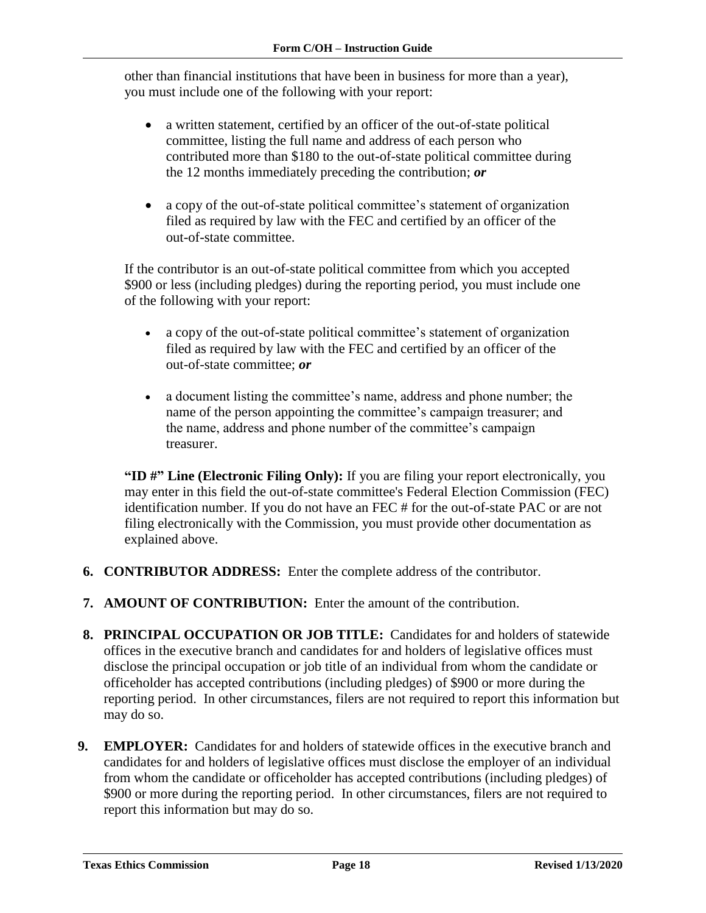other than financial institutions that have been in business for more than a year), you must include one of the following with your report:

- a written statement, certified by an officer of the out-of-state political committee, listing the full name and address of each person who contributed more than \$180 to the out-of-state political committee during the 12 months immediately preceding the contribution; *or*
- a copy of the out-of-state political committee's statement of organization filed as required by law with the FEC and certified by an officer of the out-of-state committee.

If the contributor is an out-of-state political committee from which you accepted \$900 or less (including pledges) during the reporting period, you must include one of the following with your report:

- a copy of the out-of-state political committee's statement of organization filed as required by law with the FEC and certified by an officer of the out-of-state committee; *or*
- a document listing the committee's name, address and phone number; the name of the person appointing the committee's campaign treasurer; and the name, address and phone number of the committee's campaign treasurer.

**"ID #" Line (Electronic Filing Only):** If you are filing your report electronically, you may enter in this field the out-of-state committee's Federal Election Commission (FEC) identification number. If you do not have an FEC # for the out-of-state PAC or are not filing electronically with the Commission, you must provide other documentation as explained above.

- **6. CONTRIBUTOR ADDRESS:** Enter the complete address of the contributor.
- **7. AMOUNT OF CONTRIBUTION:** Enter the amount of the contribution.
- **8. PRINCIPAL OCCUPATION OR JOB TITLE:** Candidates for and holders of statewide offices in the executive branch and candidates for and holders of legislative offices must disclose the principal occupation or job title of an individual from whom the candidate or officeholder has accepted contributions (including pledges) of \$900 or more during the reporting period. In other circumstances, filers are not required to report this information but may do so.
- **9. EMPLOYER:** Candidates for and holders of statewide offices in the executive branch and candidates for and holders of legislative offices must disclose the employer of an individual from whom the candidate or officeholder has accepted contributions (including pledges) of \$900 or more during the reporting period. In other circumstances, filers are not required to report this information but may do so.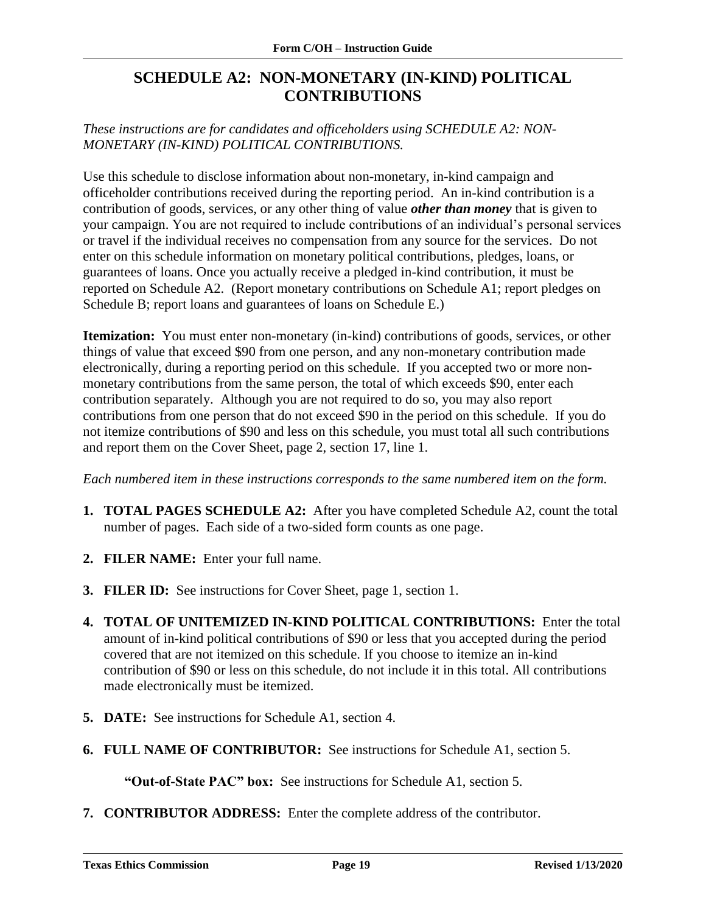## <span id="page-20-0"></span>**SCHEDULE A2: NON-MONETARY (IN-KIND) POLITICAL CONTRIBUTIONS**

*These instructions are for candidates and officeholders using SCHEDULE A2: NON-MONETARY (IN-KIND) POLITICAL CONTRIBUTIONS.*

Use this schedule to disclose information about non-monetary, in-kind campaign and officeholder contributions received during the reporting period. An in-kind contribution is a contribution of goods, services, or any other thing of value *other than money* that is given to your campaign. You are not required to include contributions of an individual's personal services or travel if the individual receives no compensation from any source for the services. Do not enter on this schedule information on monetary political contributions, pledges, loans, or guarantees of loans. Once you actually receive a pledged in-kind contribution, it must be reported on Schedule A2. (Report monetary contributions on Schedule A1; report pledges on Schedule B; report loans and guarantees of loans on Schedule E.)

**Itemization:** You must enter non-monetary (in-kind) contributions of goods, services, or other things of value that exceed \$90 from one person, and any non-monetary contribution made electronically, during a reporting period on this schedule. If you accepted two or more nonmonetary contributions from the same person, the total of which exceeds \$90, enter each contribution separately. Although you are not required to do so, you may also report contributions from one person that do not exceed \$90 in the period on this schedule. If you do not itemize contributions of \$90 and less on this schedule, you must total all such contributions and report them on the Cover Sheet, page 2, section 17, line 1.

*Each numbered item in these instructions corresponds to the same numbered item on the form.*

- **1. TOTAL PAGES SCHEDULE A2:** After you have completed Schedule A2, count the total number of pages. Each side of a two-sided form counts as one page.
- **2. FILER NAME:** Enter your full name.
- **3. FILER ID:** See instructions for Cover Sheet, page 1, section 1.
- **4. TOTAL OF UNITEMIZED IN-KIND POLITICAL CONTRIBUTIONS:** Enter the total amount of in-kind political contributions of \$90 or less that you accepted during the period covered that are not itemized on this schedule. If you choose to itemize an in-kind contribution of \$90 or less on this schedule, do not include it in this total. All contributions made electronically must be itemized.
- **5. DATE:** See instructions for Schedule A1, section 4.
- **6. FULL NAME OF CONTRIBUTOR:** See instructions for Schedule A1, section 5.

**"Out-of-State PAC" box:** See instructions for Schedule A1, section 5.

**7. CONTRIBUTOR ADDRESS:** Enter the complete address of the contributor.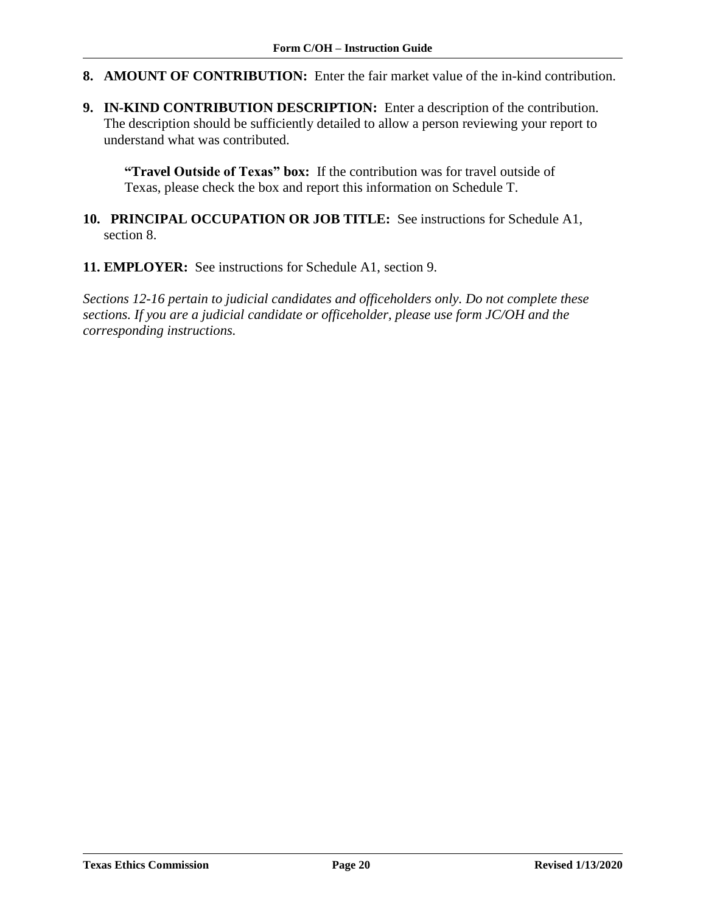- **8. AMOUNT OF CONTRIBUTION:** Enter the fair market value of the in-kind contribution.
- **9. IN-KIND CONTRIBUTION DESCRIPTION:** Enter a description of the contribution. The description should be sufficiently detailed to allow a person reviewing your report to understand what was contributed.

**"Travel Outside of Texas" box:** If the contribution was for travel outside of Texas, please check the box and report this information on Schedule T.

- **10. PRINCIPAL OCCUPATION OR JOB TITLE:** See instructions for Schedule A1, section 8.
- **11. EMPLOYER:** See instructions for Schedule A1, section 9.

*Sections 12-16 pertain to judicial candidates and officeholders only. Do not complete these sections. If you are a judicial candidate or officeholder, please use form JC/OH and the corresponding instructions.*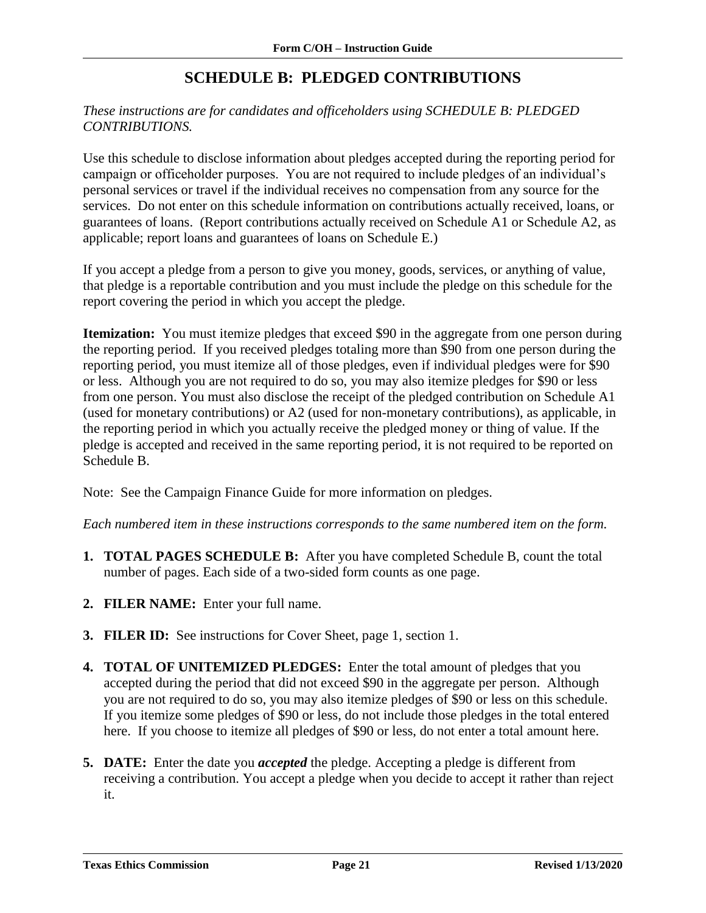# **SCHEDULE B: PLEDGED CONTRIBUTIONS**

### <span id="page-22-0"></span>*These instructions are for candidates and officeholders using SCHEDULE B: PLEDGED CONTRIBUTIONS.*

Use this schedule to disclose information about pledges accepted during the reporting period for campaign or officeholder purposes. You are not required to include pledges of an individual's personal services or travel if the individual receives no compensation from any source for the services. Do not enter on this schedule information on contributions actually received, loans, or guarantees of loans. (Report contributions actually received on Schedule A1 or Schedule A2, as applicable; report loans and guarantees of loans on Schedule E.)

If you accept a pledge from a person to give you money, goods, services, or anything of value, that pledge is a reportable contribution and you must include the pledge on this schedule for the report covering the period in which you accept the pledge.

**Itemization:** You must itemize pledges that exceed \$90 in the aggregate from one person during the reporting period. If you received pledges totaling more than \$90 from one person during the reporting period, you must itemize all of those pledges, even if individual pledges were for \$90 or less. Although you are not required to do so, you may also itemize pledges for \$90 or less from one person. You must also disclose the receipt of the pledged contribution on Schedule A1 (used for monetary contributions) or A2 (used for non-monetary contributions), as applicable, in the reporting period in which you actually receive the pledged money or thing of value. If the pledge is accepted and received in the same reporting period, it is not required to be reported on Schedule B.

Note:See the Campaign Finance Guide for more information on pledges.

*Each numbered item in these instructions corresponds to the same numbered item on the form.*

- **1. TOTAL PAGES SCHEDULE B:** After you have completed Schedule B, count the total number of pages. Each side of a two-sided form counts as one page.
- **2. FILER NAME:** Enter your full name.
- **3. FILER ID:** See instructions for Cover Sheet, page 1, section 1.
- **4. TOTAL OF UNITEMIZED PLEDGES:** Enter the total amount of pledges that you accepted during the period that did not exceed \$90 in the aggregate per person. Although you are not required to do so, you may also itemize pledges of \$90 or less on this schedule. If you itemize some pledges of \$90 or less, do not include those pledges in the total entered here. If you choose to itemize all pledges of \$90 or less, do not enter a total amount here.
- **5. DATE:** Enter the date you *accepted* the pledge. Accepting a pledge is different from receiving a contribution. You accept a pledge when you decide to accept it rather than reject it.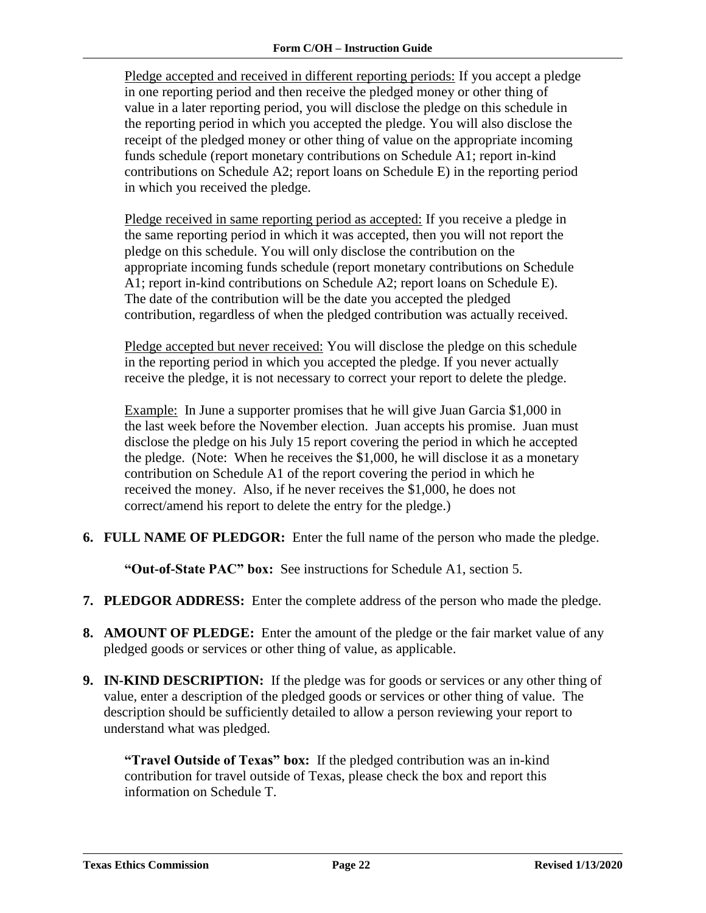Pledge accepted and received in different reporting periods: If you accept a pledge in one reporting period and then receive the pledged money or other thing of value in a later reporting period, you will disclose the pledge on this schedule in the reporting period in which you accepted the pledge. You will also disclose the receipt of the pledged money or other thing of value on the appropriate incoming funds schedule (report monetary contributions on Schedule A1; report in-kind contributions on Schedule A2; report loans on Schedule E) in the reporting period in which you received the pledge.

Pledge received in same reporting period as accepted: If you receive a pledge in the same reporting period in which it was accepted, then you will not report the pledge on this schedule. You will only disclose the contribution on the appropriate incoming funds schedule (report monetary contributions on Schedule A1; report in-kind contributions on Schedule A2; report loans on Schedule E). The date of the contribution will be the date you accepted the pledged contribution, regardless of when the pledged contribution was actually received.

Pledge accepted but never received: You will disclose the pledge on this schedule in the reporting period in which you accepted the pledge. If you never actually receive the pledge, it is not necessary to correct your report to delete the pledge.

Example: In June a supporter promises that he will give Juan Garcia \$1,000 in the last week before the November election. Juan accepts his promise. Juan must disclose the pledge on his July 15 report covering the period in which he accepted the pledge. (Note: When he receives the \$1,000, he will disclose it as a monetary contribution on Schedule A1 of the report covering the period in which he received the money. Also, if he never receives the \$1,000, he does not correct/amend his report to delete the entry for the pledge.)

**6. FULL NAME OF PLEDGOR:** Enter the full name of the person who made the pledge.

**"Out-of-State PAC" box:** See instructions for Schedule A1, section 5.

- **7. PLEDGOR ADDRESS:** Enter the complete address of the person who made the pledge.
- **8. AMOUNT OF PLEDGE:** Enter the amount of the pledge or the fair market value of any pledged goods or services or other thing of value, as applicable.
- **9. IN-KIND DESCRIPTION:** If the pledge was for goods or services or any other thing of value, enter a description of the pledged goods or services or other thing of value. The description should be sufficiently detailed to allow a person reviewing your report to understand what was pledged.

**"Travel Outside of Texas" box:** If the pledged contribution was an in-kind contribution for travel outside of Texas, please check the box and report this information on Schedule T.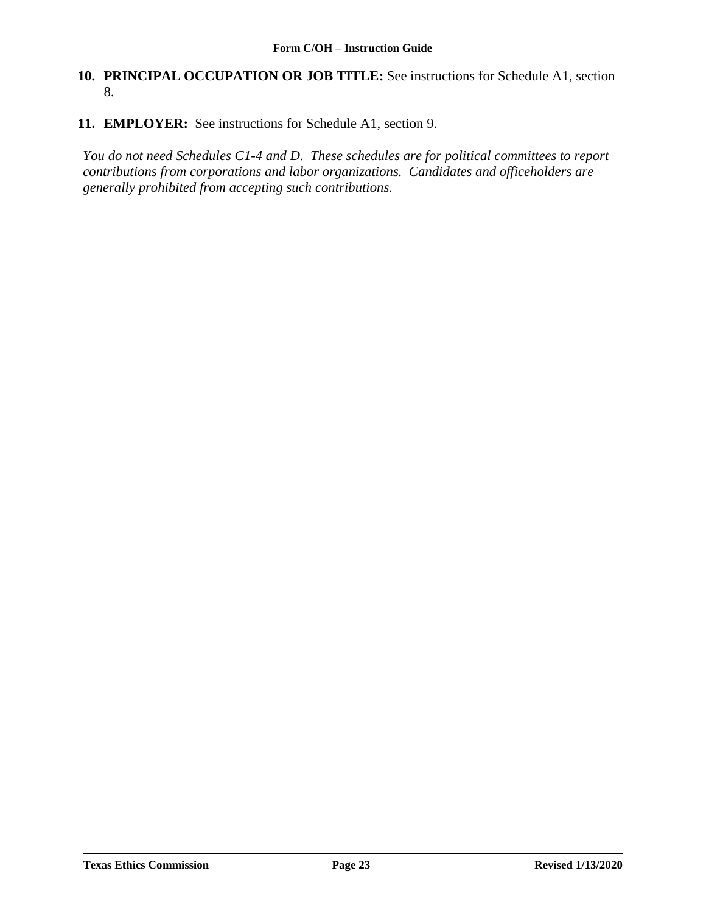### **10. PRINCIPAL OCCUPATION OR JOB TITLE:** See instructions for Schedule A1, section 8.

**11. EMPLOYER:** See instructions for Schedule A1, section 9.

*You do not need Schedules C1-4 and D. These schedules are for political committees to report contributions from corporations and labor organizations. Candidates and officeholders are generally prohibited from accepting such contributions.*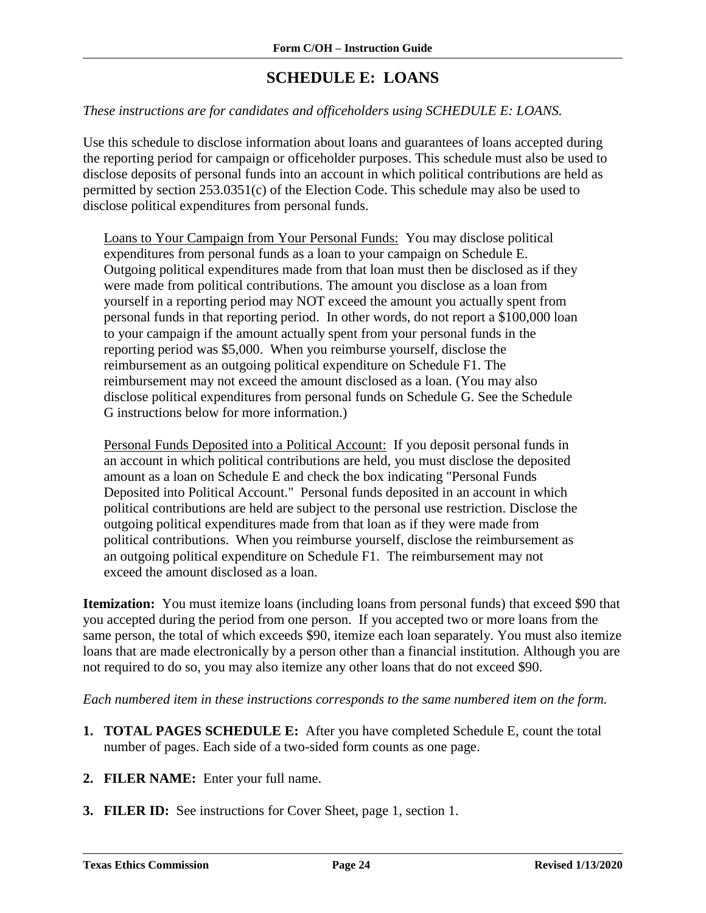# **SCHEDULE E: LOANS**

#### <span id="page-25-0"></span>*These instructions are for candidates and officeholders using SCHEDULE E: LOANS.*

Use this schedule to disclose information about loans and guarantees of loans accepted during the reporting period for campaign or officeholder purposes. This schedule must also be used to disclose deposits of personal funds into an account in which political contributions are held as permitted by section 253.0351(c) of the Election Code. This schedule may also be used to disclose political expenditures from personal funds.

Loans to Your Campaign from Your Personal Funds:You may disclose political expenditures from personal funds as a loan to your campaign on Schedule E. Outgoing political expenditures made from that loan must then be disclosed as if they were made from political contributions. The amount you disclose as a loan from yourself in a reporting period may NOT exceed the amount you actually spent from personal funds in that reporting period. In other words, do not report a \$100,000 loan to your campaign if the amount actually spent from your personal funds in the reporting period was \$5,000. When you reimburse yourself, disclose the reimbursement as an outgoing political expenditure on Schedule F1. The reimbursement may not exceed the amount disclosed as a loan. (You may also disclose political expenditures from personal funds on Schedule G. See the Schedule G instructions below for more information.)

Personal Funds Deposited into a Political Account: If you deposit personal funds in an account in which political contributions are held, you must disclose the deposited amount as a loan on Schedule E and check the box indicating "Personal Funds Deposited into Political Account." Personal funds deposited in an account in which political contributions are held are subject to the personal use restriction. Disclose the outgoing political expenditures made from that loan as if they were made from political contributions. When you reimburse yourself, disclose the reimbursement as an outgoing political expenditure on Schedule F1. The reimbursement may not exceed the amount disclosed as a loan.

**Itemization:** You must itemize loans (including loans from personal funds) that exceed \$90 that you accepted during the period from one person. If you accepted two or more loans from the same person, the total of which exceeds \$90, itemize each loan separately. You must also itemize loans that are made electronically by a person other than a financial institution. Although you are not required to do so, you may also itemize any other loans that do not exceed \$90.

*Each numbered item in these instructions corresponds to the same numbered item on the form.*

- **1. TOTAL PAGES SCHEDULE E:** After you have completed Schedule E, count the total number of pages. Each side of a two-sided form counts as one page.
- **2. FILER NAME:** Enter your full name.
- **3. FILER ID:** See instructions for Cover Sheet, page 1, section 1.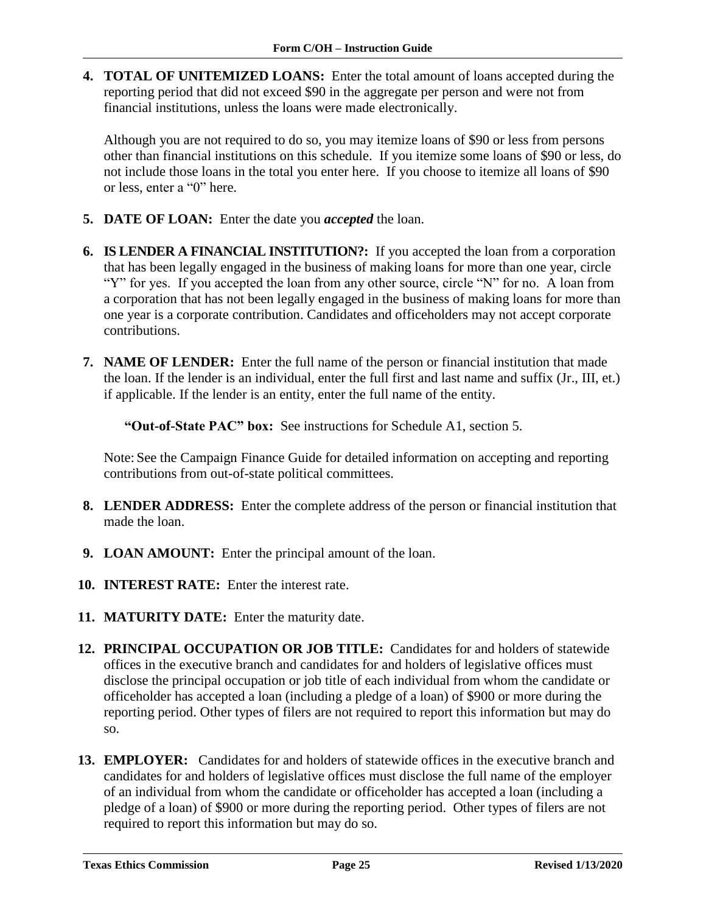**4. TOTAL OF UNITEMIZED LOANS:** Enter the total amount of loans accepted during the reporting period that did not exceed \$90 in the aggregate per person and were not from financial institutions, unless the loans were made electronically.

Although you are not required to do so, you may itemize loans of \$90 or less from persons other than financial institutions on this schedule. If you itemize some loans of \$90 or less, do not include those loans in the total you enter here. If you choose to itemize all loans of \$90 or less, enter a "0" here.

- **5. DATE OF LOAN:** Enter the date you *accepted* the loan.
- **6. IS LENDER A FINANCIAL INSTITUTION?:** If you accepted the loan from a corporation that has been legally engaged in the business of making loans for more than one year, circle "Y" for yes. If you accepted the loan from any other source, circle "N" for no. A loan from a corporation that has not been legally engaged in the business of making loans for more than one year is a corporate contribution. Candidates and officeholders may not accept corporate contributions.
- **7. NAME OF LENDER:** Enter the full name of the person or financial institution that made the loan. If the lender is an individual, enter the full first and last name and suffix (Jr., III, et.) if applicable. If the lender is an entity, enter the full name of the entity.

**"Out-of-State PAC" box:** See instructions for Schedule A1, section 5.

Note: See the Campaign Finance Guide for detailed information on accepting and reporting contributions from out-of-state political committees.

- **8. LENDER ADDRESS:** Enter the complete address of the person or financial institution that made the loan.
- **9. LOAN AMOUNT:** Enter the principal amount of the loan.
- **10. INTEREST RATE:** Enter the interest rate.
- **11. MATURITY DATE:** Enter the maturity date.
- **12. PRINCIPAL OCCUPATION OR JOB TITLE:** Candidates for and holders of statewide offices in the executive branch and candidates for and holders of legislative offices must disclose the principal occupation or job title of each individual from whom the candidate or officeholder has accepted a loan (including a pledge of a loan) of \$900 or more during the reporting period. Other types of filers are not required to report this information but may do so.
- **13. EMPLOYER:** Candidates for and holders of statewide offices in the executive branch and candidates for and holders of legislative offices must disclose the full name of the employer of an individual from whom the candidate or officeholder has accepted a loan (including a pledge of a loan) of \$900 or more during the reporting period. Other types of filers are not required to report this information but may do so.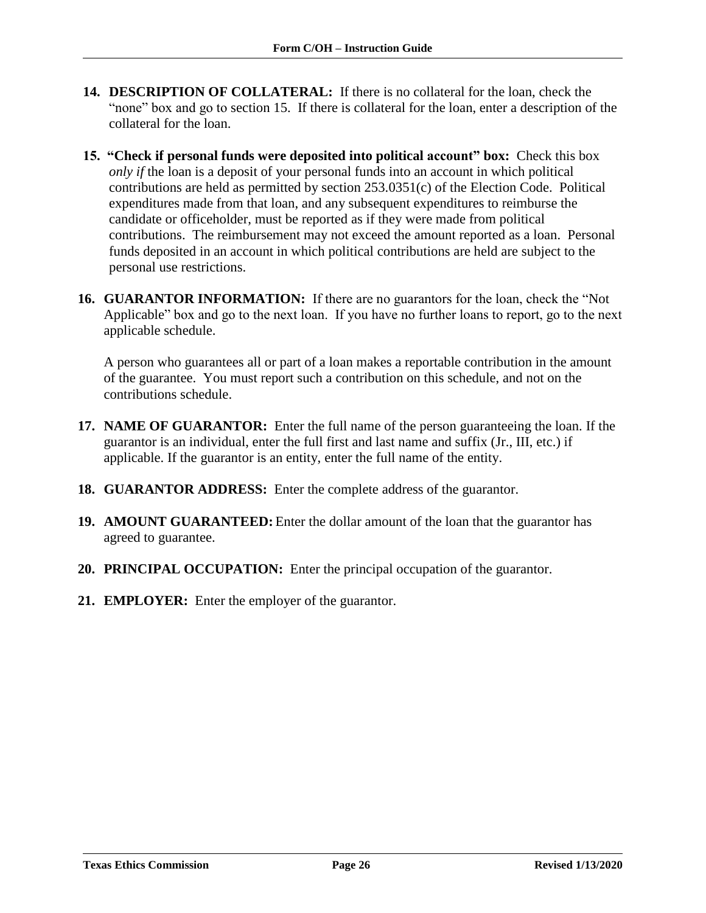- **14. DESCRIPTION OF COLLATERAL:** If there is no collateral for the loan, check the "none" box and go to section 15. If there is collateral for the loan, enter a description of the collateral for the loan.
- **15. "Check if personal funds were deposited into political account" box:** Check this box *only if* the loan is a deposit of your personal funds into an account in which political contributions are held as permitted by section 253.0351(c) of the Election Code. Political expenditures made from that loan, and any subsequent expenditures to reimburse the candidate or officeholder, must be reported as if they were made from political contributions. The reimbursement may not exceed the amount reported as a loan. Personal funds deposited in an account in which political contributions are held are subject to the personal use restrictions.
- **16. GUARANTOR INFORMATION:** If there are no guarantors for the loan, check the "Not Applicable" box and go to the next loan. If you have no further loans to report, go to the next applicable schedule.

A person who guarantees all or part of a loan makes a reportable contribution in the amount of the guarantee. You must report such a contribution on this schedule, and not on the contributions schedule.

- **17. NAME OF GUARANTOR:** Enter the full name of the person guaranteeing the loan. If the guarantor is an individual, enter the full first and last name and suffix (Jr., III, etc.) if applicable. If the guarantor is an entity, enter the full name of the entity.
- **18. GUARANTOR ADDRESS:** Enter the complete address of the guarantor.
- **19. AMOUNT GUARANTEED:** Enter the dollar amount of the loan that the guarantor has agreed to guarantee.
- **20. PRINCIPAL OCCUPATION:** Enter the principal occupation of the guarantor.
- **21. EMPLOYER:** Enter the employer of the guarantor.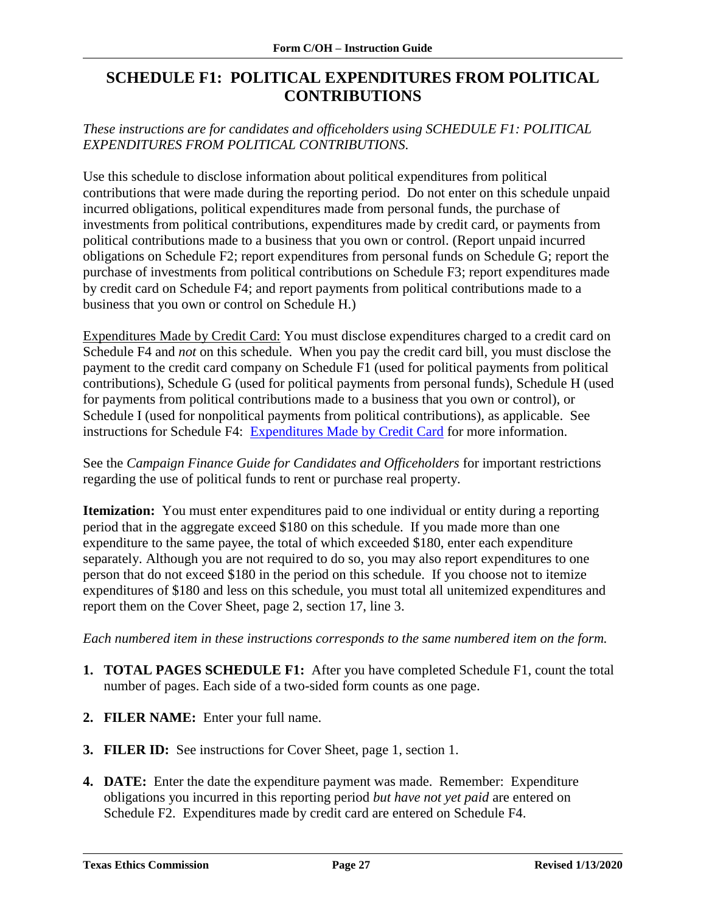## <span id="page-28-0"></span>**SCHEDULE F1: POLITICAL EXPENDITURES FROM POLITICAL CONTRIBUTIONS**

*These instructions are for candidates and officeholders using SCHEDULE F1: POLITICAL EXPENDITURES FROM POLITICAL CONTRIBUTIONS.* 

Use this schedule to disclose information about political expenditures from political contributions that were made during the reporting period. Do not enter on this schedule unpaid incurred obligations, political expenditures made from personal funds, the purchase of investments from political contributions, expenditures made by credit card, or payments from political contributions made to a business that you own or control. (Report unpaid incurred obligations on Schedule F2; report expenditures from personal funds on Schedule G; report the purchase of investments from political contributions on Schedule F3; report expenditures made by credit card on Schedule F4; and report payments from political contributions made to a business that you own or control on Schedule H.)

Expenditures Made by Credit Card: You must disclose expenditures charged to a credit card on Schedule F4 and *not* on this schedule. When you pay the credit card bill, you must disclose the payment to the credit card company on Schedule F1 (used for political payments from political contributions), Schedule G (used for political payments from personal funds), Schedule H (used for payments from political contributions made to a business that you own or control), or Schedule I (used for nonpolitical payments from political contributions), as applicable. See instructions for Schedule F4: [Expenditures Made by Credit Card](https://www.ethics.state.tx.us/PageHelps/COH/COH-NEWF4.html#ExpendituresMadeByCreditCard) for more information.

See the *Campaign Finance Guide for Candidates and Officeholders* for important restrictions regarding the use of political funds to rent or purchase real property.

**Itemization:** You must enter expenditures paid to one individual or entity during a reporting period that in the aggregate exceed \$180 on this schedule. If you made more than one expenditure to the same payee, the total of which exceeded  $$180$ , enter each expenditure separately. Although you are not required to do so, you may also report expenditures to one person that do not exceed \$180 in the period on this schedule. If you choose not to itemize expenditures of \$180 and less on this schedule, you must total all unitemized expenditures and report them on the Cover Sheet, page 2, section 17, line 3.

*Each numbered item in these instructions corresponds to the same numbered item on the form.*

- **1. TOTAL PAGES SCHEDULE F1:** After you have completed Schedule F1, count the total number of pages. Each side of a two-sided form counts as one page.
- **2. FILER NAME:** Enter your full name.
- **3. FILER ID:** See instructions for Cover Sheet, page 1, section 1.
- **4. DATE:** Enter the date the expenditure payment was made. Remember: Expenditure obligations you incurred in this reporting period *but have not yet paid* are entered on Schedule F2. Expenditures made by credit card are entered on Schedule F4.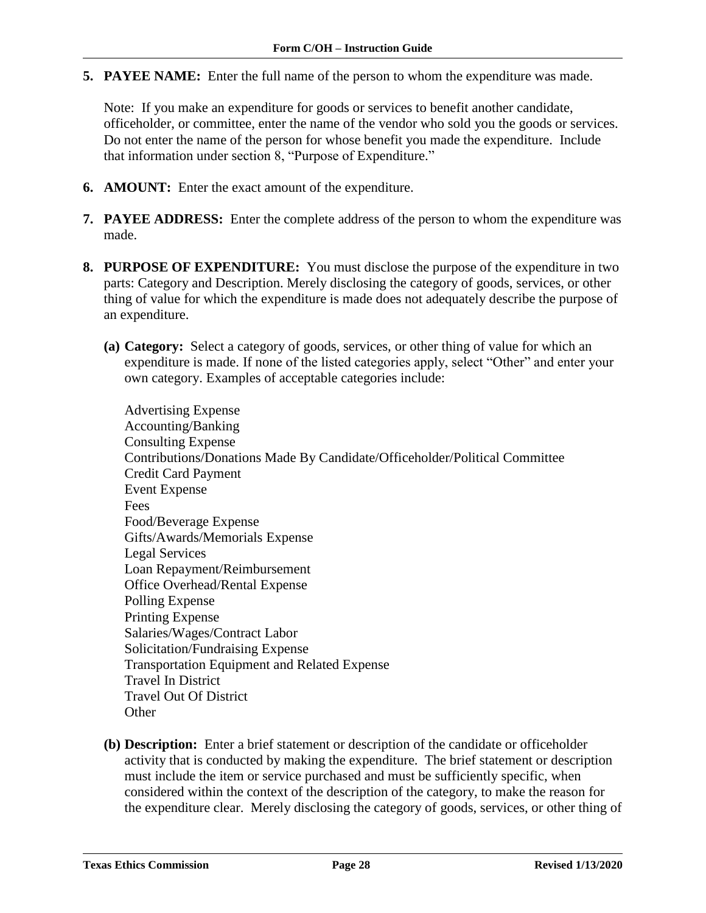**5. PAYEE NAME:** Enter the full name of the person to whom the expenditure was made.

Note: If you make an expenditure for goods or services to benefit another candidate, officeholder, or committee, enter the name of the vendor who sold you the goods or services. Do not enter the name of the person for whose benefit you made the expenditure. Include that information under section 8, "Purpose of Expenditure."

- **6. AMOUNT:** Enter the exact amount of the expenditure.
- **7. PAYEE ADDRESS:** Enter the complete address of the person to whom the expenditure was made.
- **8. PURPOSE OF EXPENDITURE:** You must disclose the purpose of the expenditure in two parts: Category and Description. Merely disclosing the category of goods, services, or other thing of value for which the expenditure is made does not adequately describe the purpose of an expenditure.
	- **(a) Category:** Select a category of goods, services, or other thing of value for which an expenditure is made. If none of the listed categories apply, select "Other" and enter your own category. Examples of acceptable categories include:

Advertising Expense Accounting/Banking Consulting Expense Contributions/Donations Made By Candidate/Officeholder/Political Committee Credit Card Payment Event Expense Fees Food/Beverage Expense Gifts/Awards/Memorials Expense Legal Services Loan Repayment/Reimbursement Office Overhead/Rental Expense Polling Expense Printing Expense Salaries/Wages/Contract Labor Solicitation/Fundraising Expense Transportation Equipment and Related Expense Travel In District Travel Out Of District **Other** 

**(b) Description:** Enter a brief statement or description of the candidate or officeholder activity that is conducted by making the expenditure. The brief statement or description must include the item or service purchased and must be sufficiently specific, when considered within the context of the description of the category, to make the reason for the expenditure clear. Merely disclosing the category of goods, services, or other thing of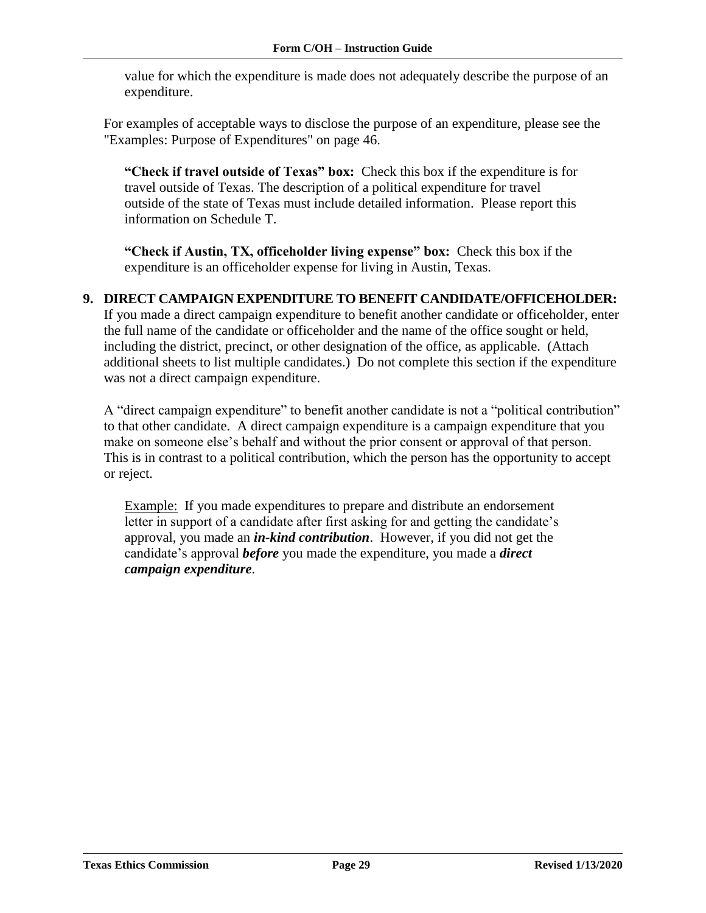value for which the expenditure is made does not adequately describe the purpose of an expenditure.

For examples of acceptable ways to disclose the purpose of an expenditure, please see the "Examples: Purpose of Expenditures" on page 46.

**"Check if travel outside of Texas" box:** Check this box if the expenditure is for travel outside of Texas. The description of a political expenditure for travel outside of the state of Texas must include detailed information. Please report this information on Schedule T.

**"Check if Austin, TX, officeholder living expense" box:** Check this box if the expenditure is an officeholder expense for living in Austin, Texas.

### **9. DIRECT CAMPAIGN EXPENDITURE TO BENEFIT CANDIDATE/OFFICEHOLDER:**

If you made a direct campaign expenditure to benefit another candidate or officeholder, enter the full name of the candidate or officeholder and the name of the office sought or held, including the district, precinct, or other designation of the office, as applicable. (Attach additional sheets to list multiple candidates.) Do not complete this section if the expenditure was not a direct campaign expenditure.

A "direct campaign expenditure" to benefit another candidate is not a "political contribution" to that other candidate. A direct campaign expenditure is a campaign expenditure that you make on someone else's behalf and without the prior consent or approval of that person. This is in contrast to a political contribution, which the person has the opportunity to accept or reject.

Example: If you made expenditures to prepare and distribute an endorsement letter in support of a candidate after first asking for and getting the candidate's approval, you made an *in-kind contribution*. However, if you did not get the candidate's approval *before* you made the expenditure, you made a *direct campaign expenditure*.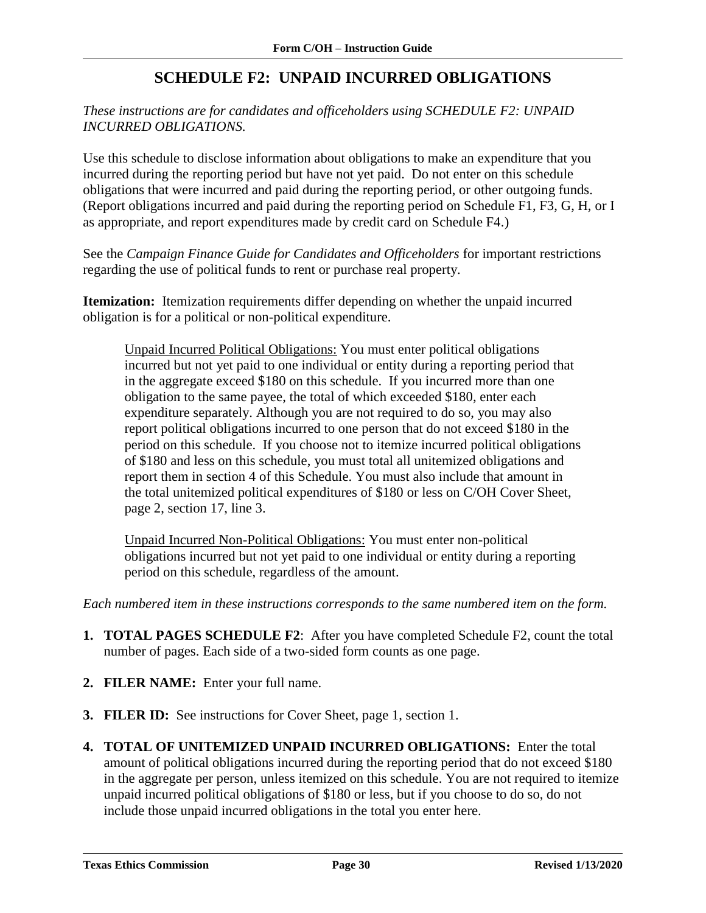# **SCHEDULE F2: UNPAID INCURRED OBLIGATIONS**

### <span id="page-31-0"></span>*These instructions are for candidates and officeholders using SCHEDULE F2: UNPAID INCURRED OBLIGATIONS.*

Use this schedule to disclose information about obligations to make an expenditure that you incurred during the reporting period but have not yet paid. Do not enter on this schedule obligations that were incurred and paid during the reporting period, or other outgoing funds. (Report obligations incurred and paid during the reporting period on Schedule F1, F3, G, H, or I as appropriate, and report expenditures made by credit card on Schedule F4.)

See the *Campaign Finance Guide for Candidates and Officeholders* for important restrictions regarding the use of political funds to rent or purchase real property.

**Itemization:** Itemization requirements differ depending on whether the unpaid incurred obligation is for a political or non-political expenditure.

Unpaid Incurred Political Obligations: You must enter political obligations incurred but not yet paid to one individual or entity during a reporting period that in the aggregate exceed \$180 on this schedule. If you incurred more than one obligation to the same payee, the total of which exceeded \$180, enter each expenditure separately. Although you are not required to do so, you may also report political obligations incurred to one person that do not exceed \$180 in the period on this schedule. If you choose not to itemize incurred political obligations of \$180 and less on this schedule, you must total all unitemized obligations and report them in section 4 of this Schedule. You must also include that amount in the total unitemized political expenditures of \$180 or less on C/OH Cover Sheet, page 2, section 17, line 3.

Unpaid Incurred Non-Political Obligations: You must enter non-political obligations incurred but not yet paid to one individual or entity during a reporting period on this schedule, regardless of the amount.

*Each numbered item in these instructions corresponds to the same numbered item on the form.*

- **1. TOTAL PAGES SCHEDULE F2**: After you have completed Schedule F2, count the total number of pages. Each side of a two-sided form counts as one page.
- **2. FILER NAME:** Enter your full name.
- **3. FILER ID:** See instructions for Cover Sheet, page 1, section 1.
- **4. TOTAL OF UNITEMIZED UNPAID INCURRED OBLIGATIONS:** Enter the total amount of political obligations incurred during the reporting period that do not exceed \$180 in the aggregate per person, unless itemized on this schedule. You are not required to itemize unpaid incurred political obligations of \$180 or less, but if you choose to do so, do not include those unpaid incurred obligations in the total you enter here.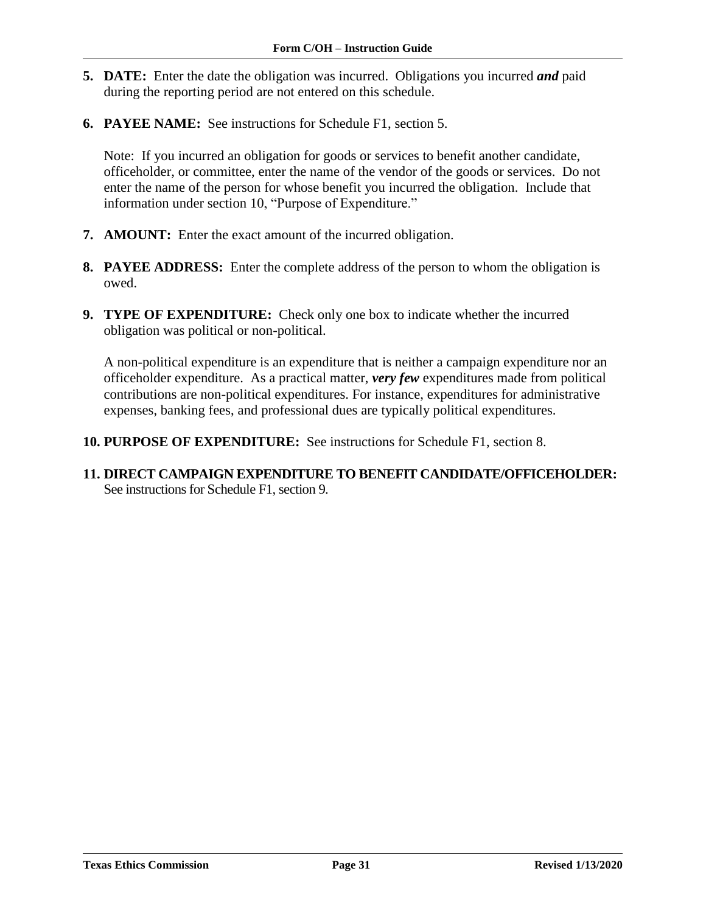- **5. DATE:** Enter the date the obligation was incurred. Obligations you incurred *and* paid during the reporting period are not entered on this schedule.
- **6. PAYEE NAME:** See instructions for Schedule F1, section 5.

Note: If you incurred an obligation for goods or services to benefit another candidate, officeholder, or committee, enter the name of the vendor of the goods or services. Do not enter the name of the person for whose benefit you incurred the obligation. Include that information under section 10, "Purpose of Expenditure."

- **7. AMOUNT:** Enter the exact amount of the incurred obligation.
- **8. PAYEE ADDRESS:** Enter the complete address of the person to whom the obligation is owed.
- **9. TYPE OF EXPENDITURE:** Check only one box to indicate whether the incurred obligation was political or non-political.

A non-political expenditure is an expenditure that is neither a campaign expenditure nor an officeholder expenditure. As a practical matter, *very few* expenditures made from political contributions are non-political expenditures. For instance, expenditures for administrative expenses, banking fees, and professional dues are typically political expenditures.

- **10. PURPOSE OF EXPENDITURE:** See instructions for Schedule F1, section 8.
- **11. DIRECT CAMPAIGN EXPENDITURE TO BENEFIT CANDIDATE/OFFICEHOLDER:**  See instructions for Schedule F1, section 9.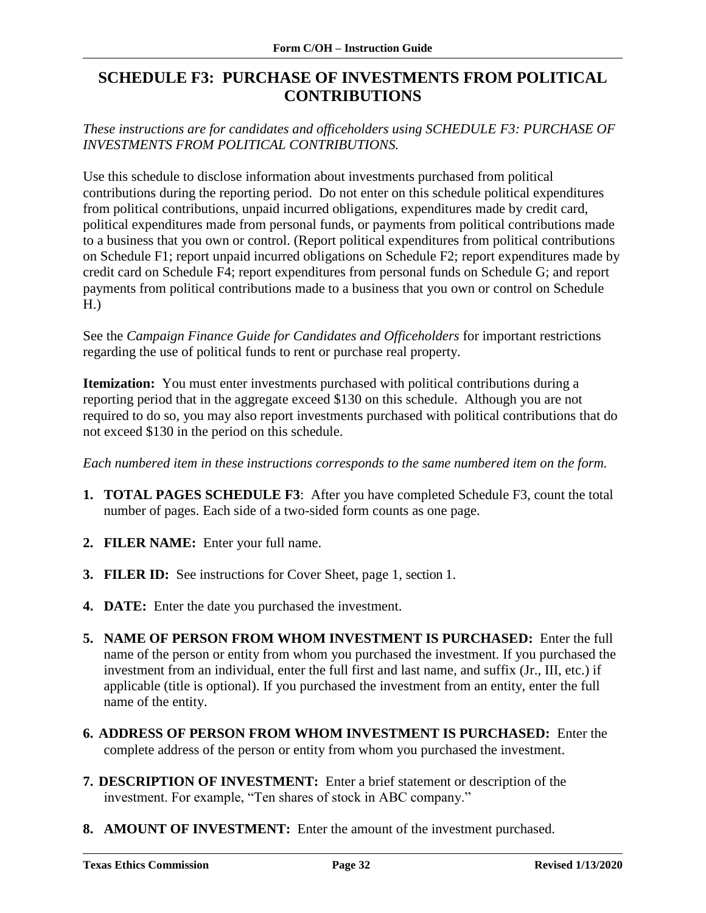# <span id="page-33-0"></span>**SCHEDULE F3: PURCHASE OF INVESTMENTS FROM POLITICAL CONTRIBUTIONS**

*These instructions are for candidates and officeholders using SCHEDULE F3: PURCHASE OF INVESTMENTS FROM POLITICAL CONTRIBUTIONS.*

Use this schedule to disclose information about investments purchased from political contributions during the reporting period. Do not enter on this schedule political expenditures from political contributions, unpaid incurred obligations, expenditures made by credit card, political expenditures made from personal funds, or payments from political contributions made to a business that you own or control. (Report political expenditures from political contributions on Schedule F1; report unpaid incurred obligations on Schedule F2; report expenditures made by credit card on Schedule F4; report expenditures from personal funds on Schedule G; and report payments from political contributions made to a business that you own or control on Schedule H.)

See the *Campaign Finance Guide for Candidates and Officeholders* for important restrictions regarding the use of political funds to rent or purchase real property.

**Itemization:** You must enter investments purchased with political contributions during a reporting period that in the aggregate exceed \$130 on this schedule. Although you are not required to do so, you may also report investments purchased with political contributions that do not exceed \$130 in the period on this schedule.

*Each numbered item in these instructions corresponds to the same numbered item on the form.*

- **1. TOTAL PAGES SCHEDULE F3**: After you have completed Schedule F3, count the total number of pages. Each side of a two-sided form counts as one page.
- **2. FILER NAME:** Enter your full name.
- **3. FILER ID:** See instructions for Cover Sheet, page 1, section 1.
- **4. DATE:** Enter the date you purchased the investment.
- **5. NAME OF PERSON FROM WHOM INVESTMENT IS PURCHASED:** Enter the full name of the person or entity from whom you purchased the investment. If you purchased the investment from an individual, enter the full first and last name, and suffix (Jr., III, etc.) if applicable (title is optional). If you purchased the investment from an entity, enter the full name of the entity.
- **6. ADDRESS OF PERSON FROM WHOM INVESTMENT IS PURCHASED:** Enter the complete address of the person or entity from whom you purchased the investment.
- **7. DESCRIPTION OF INVESTMENT:** Enter a brief statement or description of the investment. For example, "Ten shares of stock in ABC company."
- **8. AMOUNT OF INVESTMENT:** Enter the amount of the investment purchased.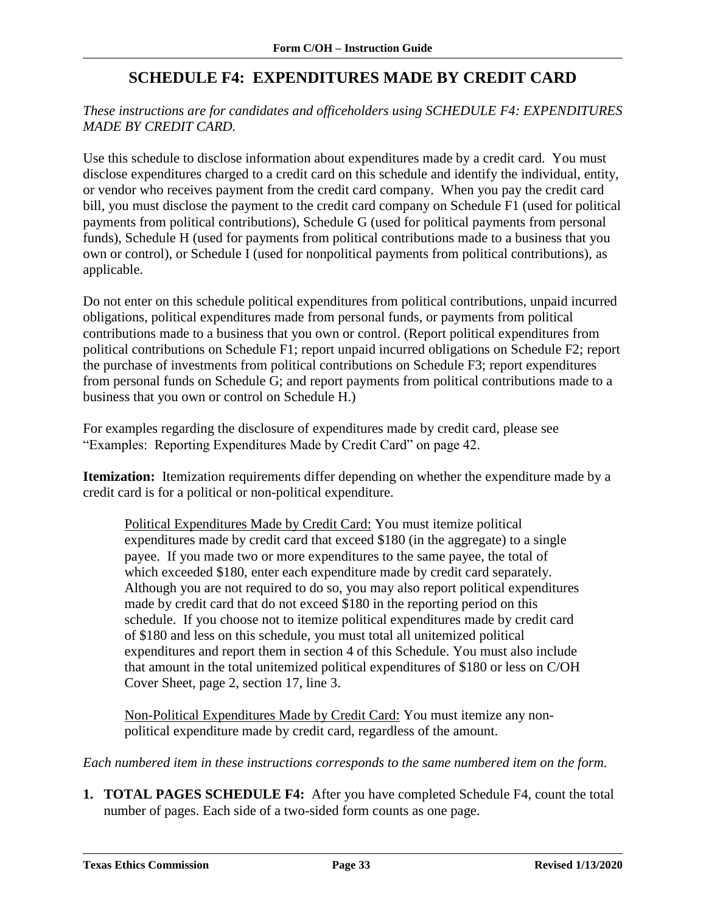# **SCHEDULE F4: EXPENDITURES MADE BY CREDIT CARD**

### <span id="page-34-0"></span>*These instructions are for candidates and officeholders using SCHEDULE F4: EXPENDITURES MADE BY CREDIT CARD.*

Use this schedule to disclose information about expenditures made by a credit card. You must disclose expenditures charged to a credit card on this schedule and identify the individual, entity, or vendor who receives payment from the credit card company. When you pay the credit card bill, you must disclose the payment to the credit card company on Schedule F1 (used for political payments from political contributions), Schedule G (used for political payments from personal funds), Schedule H (used for payments from political contributions made to a business that you own or control), or Schedule I (used for nonpolitical payments from political contributions), as applicable.

Do not enter on this schedule political expenditures from political contributions, unpaid incurred obligations, political expenditures made from personal funds, or payments from political contributions made to a business that you own or control. (Report political expenditures from political contributions on Schedule F1; report unpaid incurred obligations on Schedule F2; report the purchase of investments from political contributions on Schedule F3; report expenditures from personal funds on Schedule G; and report payments from political contributions made to a business that you own or control on Schedule H.)

For examples regarding the disclosure of expenditures made by credit card, please see "Examples: Reporting Expenditures Made by Credit Card" on page 42.

**Itemization:** Itemization requirements differ depending on whether the expenditure made by a credit card is for a political or non-political expenditure.

Political Expenditures Made by Credit Card: You must itemize political expenditures made by credit card that exceed \$180 (in the aggregate) to a single payee. If you made two or more expenditures to the same payee, the total of which exceeded \$180, enter each expenditure made by credit card separately. Although you are not required to do so, you may also report political expenditures made by credit card that do not exceed \$180 in the reporting period on this schedule. If you choose not to itemize political expenditures made by credit card of \$180 and less on this schedule, you must total all unitemized political expenditures and report them in section 4 of this Schedule. You must also include that amount in the total unitemized political expenditures of \$180 or less on C/OH Cover Sheet, page 2, section 17, line 3.

Non-Political Expenditures Made by Credit Card: You must itemize any nonpolitical expenditure made by credit card, regardless of the amount.

*Each numbered item in these instructions corresponds to the same numbered item on the form.*

**1. TOTAL PAGES SCHEDULE F4:** After you have completed Schedule F4, count the total number of pages. Each side of a two-sided form counts as one page.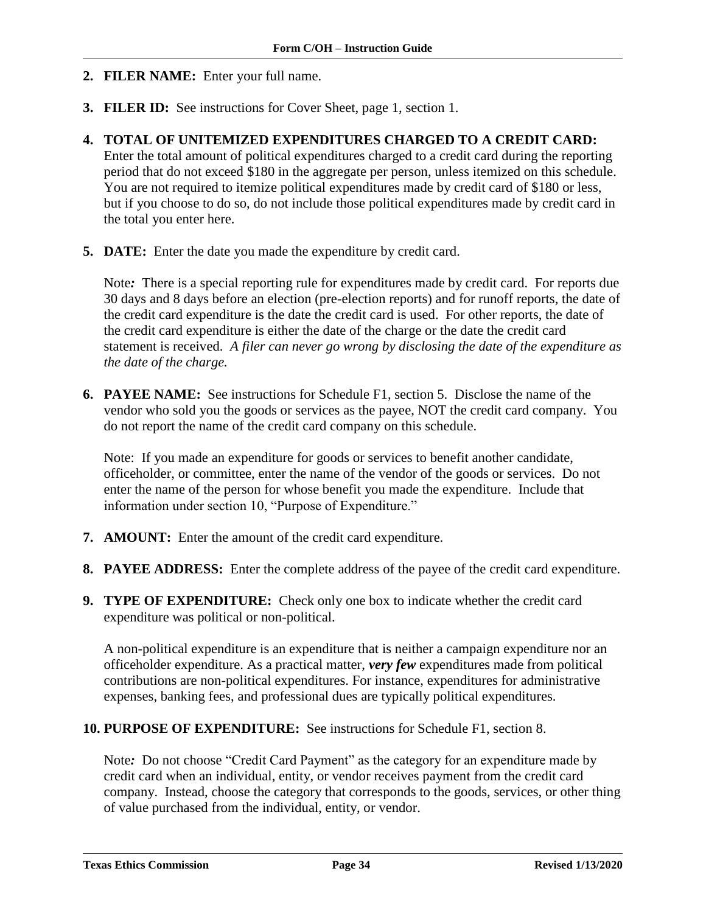- **2. FILER NAME:** Enter your full name.
- **3. FILER ID:** See instructions for Cover Sheet, page 1, section 1.
- **4. TOTAL OF UNITEMIZED EXPENDITURES CHARGED TO A CREDIT CARD:**  Enter the total amount of political expenditures charged to a credit card during the reporting period that do not exceed \$180 in the aggregate per person, unless itemized on this schedule. You are not required to itemize political expenditures made by credit card of \$180 or less, but if you choose to do so, do not include those political expenditures made by credit card in the total you enter here.
- **5. DATE:** Enter the date you made the expenditure by credit card.

Note*:* There is a special reporting rule for expenditures made by credit card. For reports due 30 days and 8 days before an election (pre-election reports) and for runoff reports, the date of the credit card expenditure is the date the credit card is used. For other reports, the date of the credit card expenditure is either the date of the charge or the date the credit card statement is received. *A filer can never go wrong by disclosing the date of the expenditure as the date of the charge.*

**6. PAYEE NAME:** See instructions for Schedule F1, section 5. Disclose the name of the vendor who sold you the goods or services as the payee, NOT the credit card company. You do not report the name of the credit card company on this schedule.

Note: If you made an expenditure for goods or services to benefit another candidate, officeholder, or committee, enter the name of the vendor of the goods or services. Do not enter the name of the person for whose benefit you made the expenditure. Include that information under section 10, "Purpose of Expenditure."

- **7. AMOUNT:** Enter the amount of the credit card expenditure.
- **8. PAYEE ADDRESS:** Enter the complete address of the payee of the credit card expenditure.
- **9. TYPE OF EXPENDITURE:** Check only one box to indicate whether the credit card expenditure was political or non-political.

A non-political expenditure is an expenditure that is neither a campaign expenditure nor an officeholder expenditure. As a practical matter, *very few* expenditures made from political contributions are non-political expenditures. For instance, expenditures for administrative expenses, banking fees, and professional dues are typically political expenditures.

**10. PURPOSE OF EXPENDITURE:** See instructions for Schedule F1, section 8.

Note*:* Do not choose "Credit Card Payment" as the category for an expenditure made by credit card when an individual, entity, or vendor receives payment from the credit card company. Instead, choose the category that corresponds to the goods, services, or other thing of value purchased from the individual, entity, or vendor.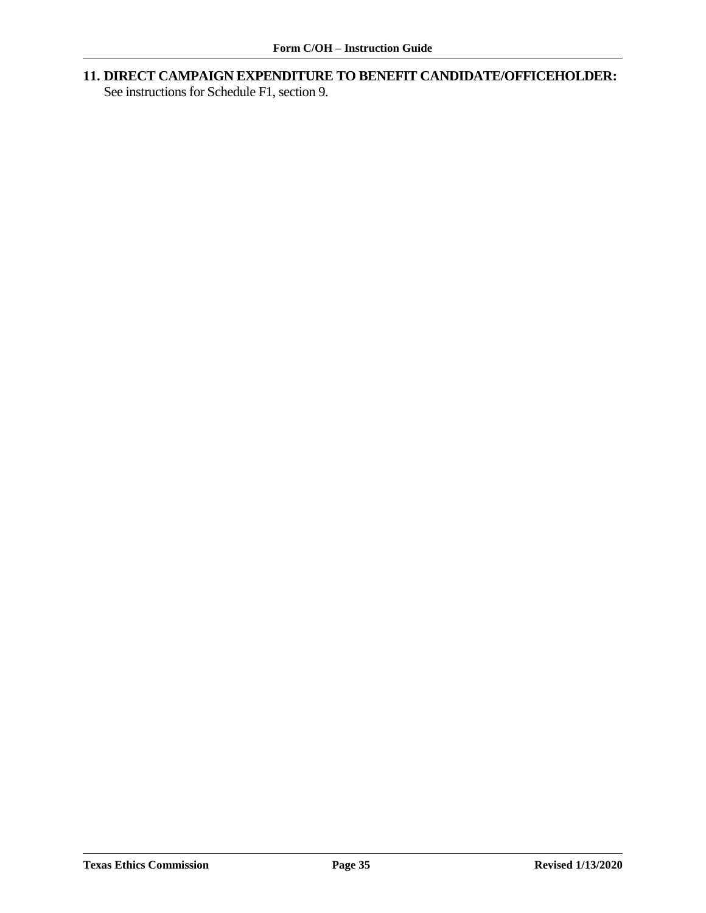**11. DIRECT CAMPAIGN EXPENDITURE TO BENEFIT CANDIDATE/OFFICEHOLDER:** 

See instructions for Schedule F1, section 9.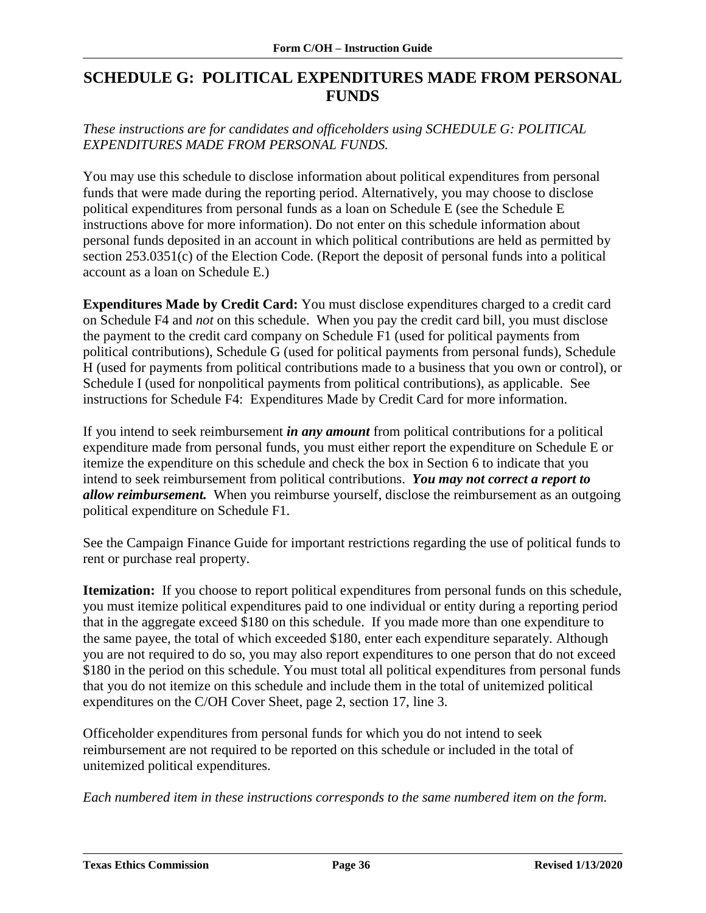## <span id="page-37-0"></span>**SCHEDULE G: POLITICAL EXPENDITURES MADE FROM PERSONAL FUNDS**

### *These instructions are for candidates and officeholders using SCHEDULE G: POLITICAL EXPENDITURES MADE FROM PERSONAL FUNDS.*

You may use this schedule to disclose information about political expenditures from personal funds that were made during the reporting period. Alternatively, you may choose to disclose political expenditures from personal funds as a loan on Schedule E (see the Schedule E instructions above for more information). Do not enter on this schedule information about personal funds deposited in an account in which political contributions are held as permitted by section 253.0351(c) of the Election Code. (Report the deposit of personal funds into a political account as a loan on Schedule E.)

**Expenditures Made by Credit Card:** You must disclose expenditures charged to a credit card on Schedule F4 and *not* on this schedule. When you pay the credit card bill, you must disclose the payment to the credit card company on Schedule F1 (used for political payments from political contributions), Schedule G (used for political payments from personal funds), Schedule H (used for payments from political contributions made to a business that you own or control), or Schedule I (used for nonpolitical payments from political contributions), as applicable. See instructions for Schedule F4: Expenditures Made by Credit Card for more information.

If you intend to seek reimbursement *in any amount* from political contributions for a political expenditure made from personal funds, you must either report the expenditure on Schedule E or itemize the expenditure on this schedule and check the box in Section 6 to indicate that you intend to seek reimbursement from political contributions. *You may not correct a report to allow reimbursement.* When you reimburse yourself, disclose the reimbursement as an outgoing political expenditure on Schedule F1.

See the Campaign Finance Guide for important restrictions regarding the use of political funds to rent or purchase real property.

**Itemization:** If you choose to report political expenditures from personal funds on this schedule, you must itemize political expenditures paid to one individual or entity during a reporting period that in the aggregate exceed \$180 on this schedule. If you made more than one expenditure to the same payee, the total of which exceeded \$180, enter each expenditure separately. Although you are not required to do so, you may also report expenditures to one person that do not exceed \$180 in the period on this schedule. You must total all political expenditures from personal funds that you do not itemize on this schedule and include them in the total of unitemized political expenditures on the C/OH Cover Sheet, page 2, section 17, line 3.

Officeholder expenditures from personal funds for which you do not intend to seek reimbursement are not required to be reported on this schedule or included in the total of unitemized political expenditures.

*Each numbered item in these instructions corresponds to the same numbered item on the form.*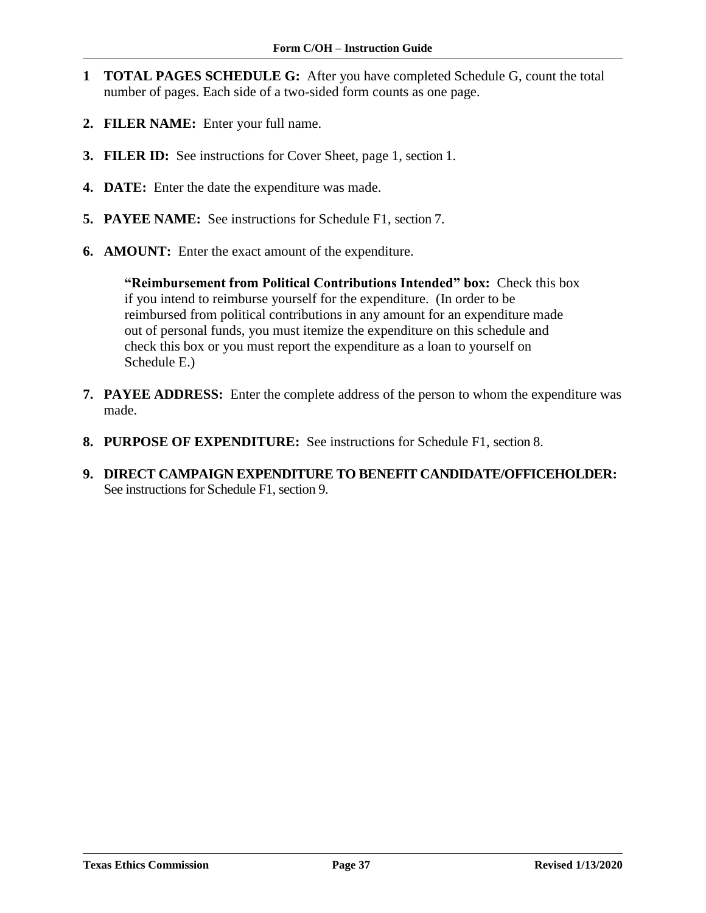- **1 TOTAL PAGES SCHEDULE G:** After you have completed Schedule G, count the total number of pages. Each side of a two-sided form counts as one page.
- **2. FILER NAME:** Enter your full name.
- **3. FILER ID:** See instructions for Cover Sheet, page 1, section 1.
- **4. DATE:** Enter the date the expenditure was made.
- **5. PAYEE NAME:** See instructions for Schedule F1, section 7.
- **6. AMOUNT:** Enter the exact amount of the expenditure.

**"Reimbursement from Political Contributions Intended" box:** Check this box if you intend to reimburse yourself for the expenditure. (In order to be reimbursed from political contributions in any amount for an expenditure made out of personal funds, you must itemize the expenditure on this schedule and check this box or you must report the expenditure as a loan to yourself on Schedule E.)

- **7. PAYEE ADDRESS:** Enter the complete address of the person to whom the expenditure was made.
- **8. PURPOSE OF EXPENDITURE:** See instructions for Schedule F1, section 8.
- **9. DIRECT CAMPAIGN EXPENDITURE TO BENEFIT CANDIDATE/OFFICEHOLDER:**  See instructions for Schedule F1, section 9.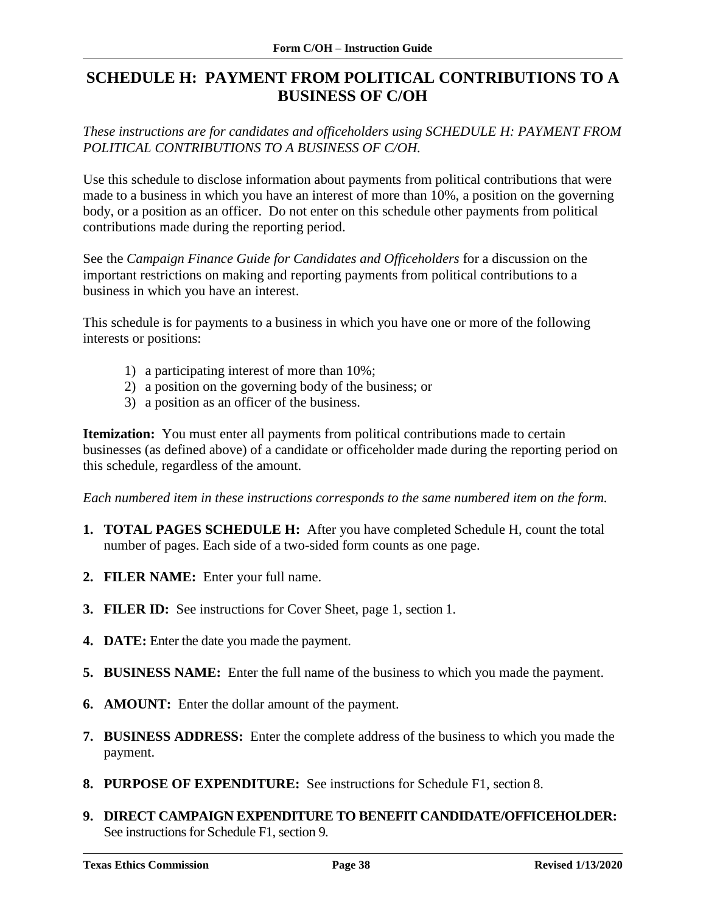# <span id="page-39-0"></span>**SCHEDULE H: PAYMENT FROM POLITICAL CONTRIBUTIONS TO A BUSINESS OF C/OH**

*These instructions are for candidates and officeholders using SCHEDULE H: PAYMENT FROM POLITICAL CONTRIBUTIONS TO A BUSINESS OF C/OH.*

Use this schedule to disclose information about payments from political contributions that were made to a business in which you have an interest of more than 10%, a position on the governing body, or a position as an officer. Do not enter on this schedule other payments from political contributions made during the reporting period.

See the *Campaign Finance Guide for Candidates and Officeholders* for a discussion on the important restrictions on making and reporting payments from political contributions to a business in which you have an interest.

This schedule is for payments to a business in which you have one or more of the following interests or positions:

- 1) a participating interest of more than 10%;
- 2) a position on the governing body of the business; or
- 3) a position as an officer of the business.

**Itemization:** You must enter all payments from political contributions made to certain businesses (as defined above) of a candidate or officeholder made during the reporting period on this schedule, regardless of the amount.

*Each numbered item in these instructions corresponds to the same numbered item on the form.*

- **1. TOTAL PAGES SCHEDULE H:** After you have completed Schedule H, count the total number of pages. Each side of a two-sided form counts as one page.
- **2. FILER NAME:** Enter your full name.
- **3. FILER ID:** See instructions for Cover Sheet, page 1, section 1.
- **4. DATE:** Enter the date you made the payment.
- **5. BUSINESS NAME:** Enter the full name of the business to which you made the payment.
- **6. AMOUNT:** Enter the dollar amount of the payment.
- **7. BUSINESS ADDRESS:** Enter the complete address of the business to which you made the payment.
- **8. PURPOSE OF EXPENDITURE:** See instructions for Schedule F1, section 8.
- **9. DIRECT CAMPAIGN EXPENDITURE TO BENEFIT CANDIDATE/OFFICEHOLDER:** See instructions for Schedule F1, section 9.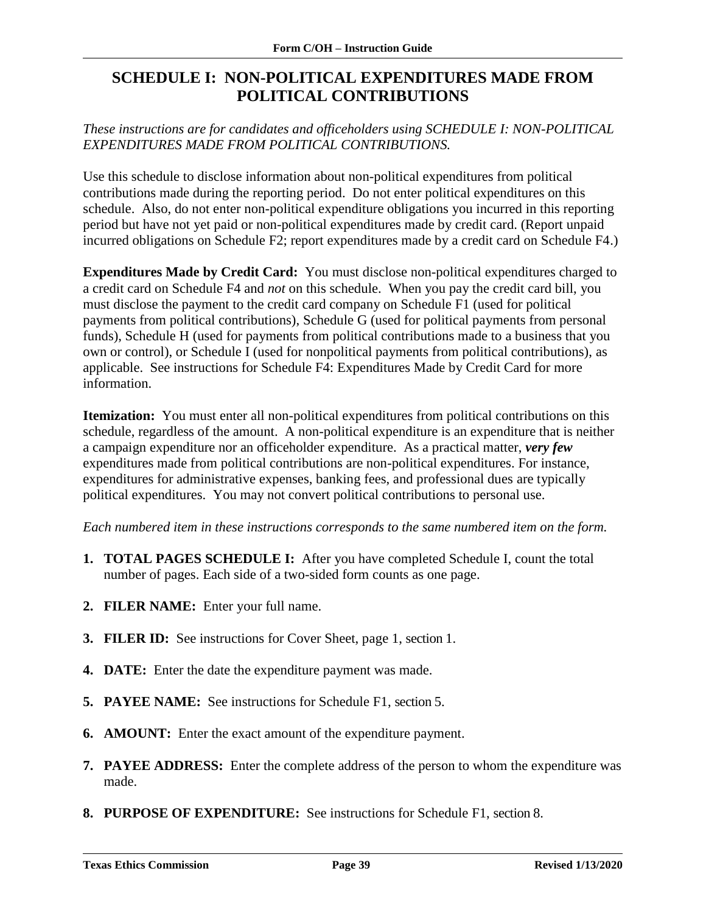# <span id="page-40-0"></span>**SCHEDULE I: NON-POLITICAL EXPENDITURES MADE FROM POLITICAL CONTRIBUTIONS**

*These instructions are for candidates and officeholders using SCHEDULE I: NON-POLITICAL EXPENDITURES MADE FROM POLITICAL CONTRIBUTIONS.*

Use this schedule to disclose information about non-political expenditures from political contributions made during the reporting period. Do not enter political expenditures on this schedule. Also, do not enter non-political expenditure obligations you incurred in this reporting period but have not yet paid or non-political expenditures made by credit card. (Report unpaid incurred obligations on Schedule F2; report expenditures made by a credit card on Schedule F4.)

**Expenditures Made by Credit Card:** You must disclose non-political expenditures charged to a credit card on Schedule F4 and *not* on this schedule. When you pay the credit card bill, you must disclose the payment to the credit card company on Schedule F1 (used for political payments from political contributions), Schedule G (used for political payments from personal funds), Schedule H (used for payments from political contributions made to a business that you own or control), or Schedule I (used for nonpolitical payments from political contributions), as applicable. See instructions for Schedule F4: Expenditures Made by Credit Card for more information.

**Itemization:** You must enter all non-political expenditures from political contributions on this schedule, regardless of the amount. A non-political expenditure is an expenditure that is neither a campaign expenditure nor an officeholder expenditure. As a practical matter, *very few* expenditures made from political contributions are non-political expenditures. For instance, expenditures for administrative expenses, banking fees, and professional dues are typically political expenditures. You may not convert political contributions to personal use.

*Each numbered item in these instructions corresponds to the same numbered item on the form.*

- **1. TOTAL PAGES SCHEDULE I:** After you have completed Schedule I, count the total number of pages. Each side of a two-sided form counts as one page.
- **2. FILER NAME:** Enter your full name.
- **3. FILER ID:** See instructions for Cover Sheet, page 1, section 1.
- **4. DATE:** Enter the date the expenditure payment was made.
- **5. PAYEE NAME:** See instructions for Schedule F1, section 5.
- **6. AMOUNT:** Enter the exact amount of the expenditure payment.
- **7. PAYEE ADDRESS:** Enter the complete address of the person to whom the expenditure was made.
- **8. PURPOSE OF EXPENDITURE:** See instructions for Schedule F1, section 8.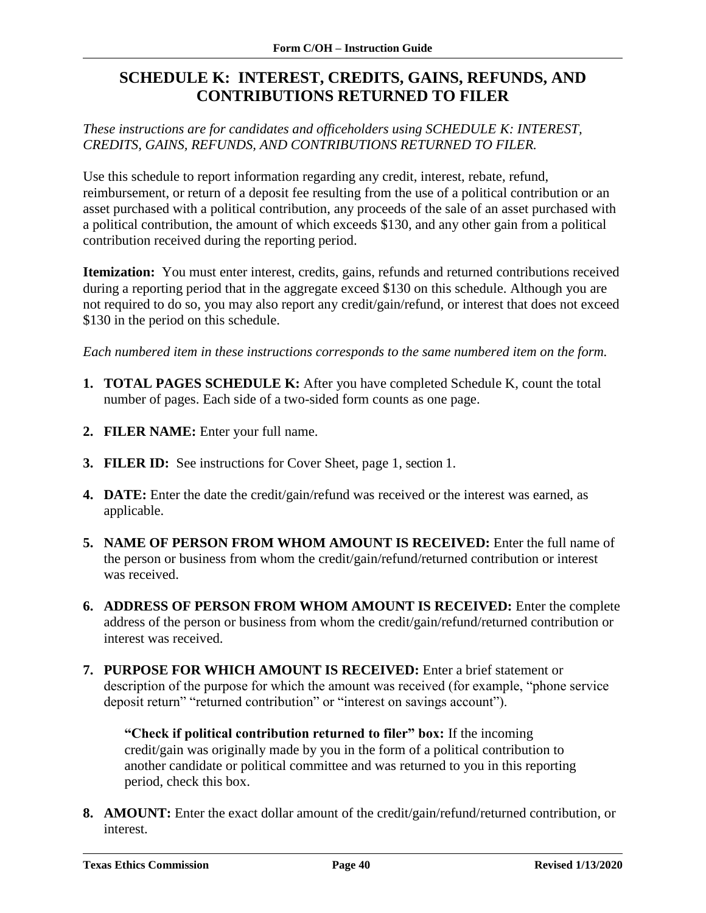# <span id="page-41-0"></span>**SCHEDULE K: INTEREST, CREDITS, GAINS, REFUNDS, AND CONTRIBUTIONS RETURNED TO FILER**

*These instructions are for candidates and officeholders using SCHEDULE K: INTEREST, CREDITS, GAINS, REFUNDS, AND CONTRIBUTIONS RETURNED TO FILER.*

Use this schedule to report information regarding any credit, interest, rebate, refund, reimbursement, or return of a deposit fee resulting from the use of a political contribution or an asset purchased with a political contribution, any proceeds of the sale of an asset purchased with a political contribution, the amount of which exceeds \$130, and any other gain from a political contribution received during the reporting period.

**Itemization:** You must enter interest, credits, gains, refunds and returned contributions received during a reporting period that in the aggregate exceed \$130 on this schedule. Although you are not required to do so, you may also report any credit/gain/refund, or interest that does not exceed \$130 in the period on this schedule.

*Each numbered item in these instructions corresponds to the same numbered item on the form.*

- **1. TOTAL PAGES SCHEDULE K:** After you have completed Schedule K, count the total number of pages. Each side of a two-sided form counts as one page.
- **2. FILER NAME:** Enter your full name.
- **3. FILER ID:** See instructions for Cover Sheet, page 1, section 1.
- **4. DATE:** Enter the date the credit/gain/refund was received or the interest was earned, as applicable.
- **5. NAME OF PERSON FROM WHOM AMOUNT IS RECEIVED:** Enter the full name of the person or business from whom the credit/gain/refund/returned contribution or interest was received.
- **6. ADDRESS OF PERSON FROM WHOM AMOUNT IS RECEIVED:** Enter the complete address of the person or business from whom the credit/gain/refund/returned contribution or interest was received.
- **7. PURPOSE FOR WHICH AMOUNT IS RECEIVED:** Enter a brief statement or description of the purpose for which the amount was received (for example, "phone service deposit return" "returned contribution" or "interest on savings account").

**"Check if political contribution returned to filer" box:** If the incoming credit/gain was originally made by you in the form of a political contribution to another candidate or political committee and was returned to you in this reporting period, check this box.

**8. AMOUNT:** Enter the exact dollar amount of the credit/gain/refund/returned contribution, or interest.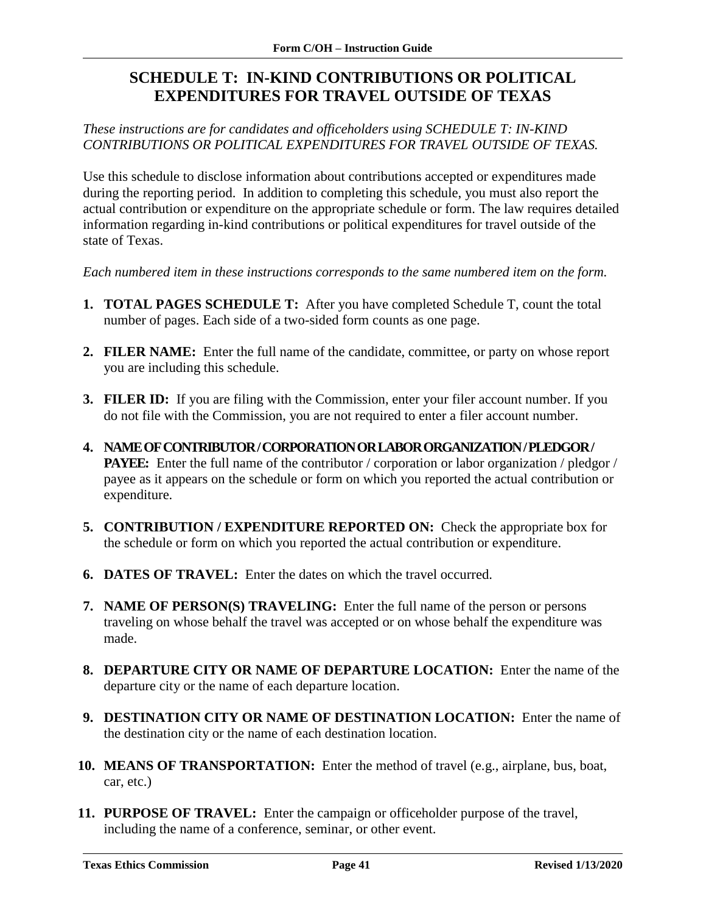# <span id="page-42-0"></span>**SCHEDULE T: IN-KIND CONTRIBUTIONS OR POLITICAL EXPENDITURES FOR TRAVEL OUTSIDE OF TEXAS**

### *These instructions are for candidates and officeholders using SCHEDULE T: IN-KIND CONTRIBUTIONS OR POLITICAL EXPENDITURES FOR TRAVEL OUTSIDE OF TEXAS.*

Use this schedule to disclose information about contributions accepted or expenditures made during the reporting period. In addition to completing this schedule, you must also report the actual contribution or expenditure on the appropriate schedule or form. The law requires detailed information regarding in-kind contributions or political expenditures for travel outside of the state of Texas.

*Each numbered item in these instructions corresponds to the same numbered item on the form.* 

- **1. TOTAL PAGES SCHEDULE T:** After you have completed Schedule T, count the total number of pages. Each side of a two-sided form counts as one page.
- **2. FILER NAME:** Enter the full name of the candidate, committee, or party on whose report you are including this schedule.
- **3. FILER ID:** If you are filing with the Commission, enter your filer account number. If you do not file with the Commission, you are not required to enter a filer account number.
- **4. NAME OF CONTRIBUTOR / CORPORATION OR LABOR ORGANIZATION / PLEDGOR / PAYEE:** Enter the full name of the contributor / corporation or labor organization / pledgor / payee as it appears on the schedule or form on which you reported the actual contribution or expenditure.
- **5. CONTRIBUTION / EXPENDITURE REPORTED ON:** Check the appropriate box for the schedule or form on which you reported the actual contribution or expenditure.
- **6. DATES OF TRAVEL:** Enter the dates on which the travel occurred.
- **7. NAME OF PERSON(S) TRAVELING:** Enter the full name of the person or persons traveling on whose behalf the travel was accepted or on whose behalf the expenditure was made.
- **8. DEPARTURE CITY OR NAME OF DEPARTURE LOCATION:** Enter the name of the departure city or the name of each departure location.
- **9. DESTINATION CITY OR NAME OF DESTINATION LOCATION:** Enter the name of the destination city or the name of each destination location.
- **10. MEANS OF TRANSPORTATION:** Enter the method of travel (e.g., airplane, bus, boat, car, etc.)
- **11. PURPOSE OF TRAVEL:** Enter the campaign or officeholder purpose of the travel, including the name of a conference, seminar, or other event.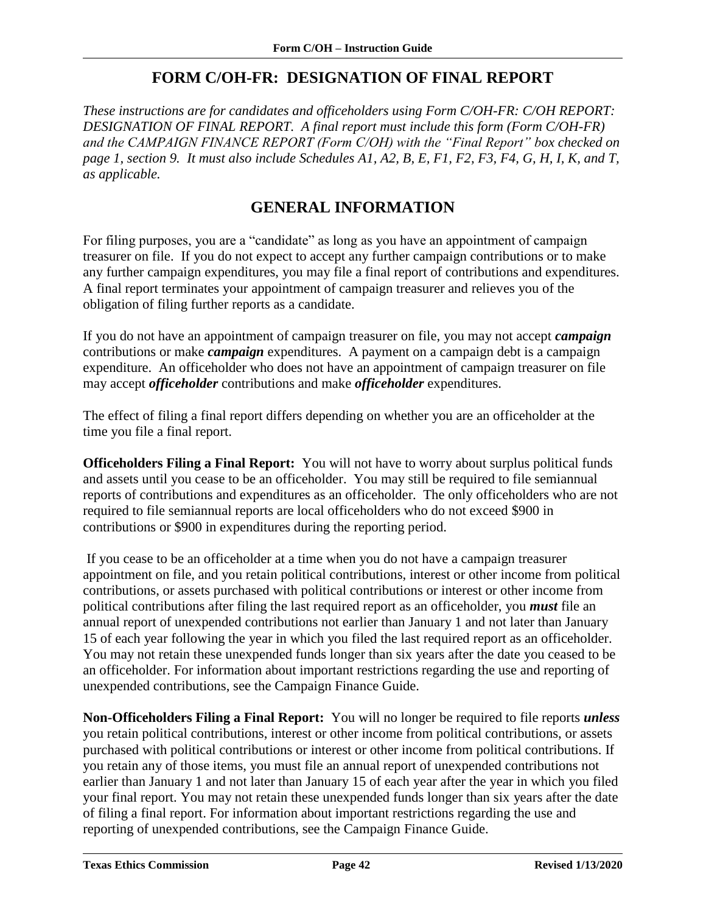## **FORM C/OH-FR: DESIGNATION OF FINAL REPORT**

<span id="page-43-0"></span>*These instructions are for candidates and officeholders using Form C/OH-FR: C/OH REPORT: DESIGNATION OF FINAL REPORT. A final report must include this form (Form C/OH-FR) and the CAMPAIGN FINANCE REPORT (Form C/OH) with the "Final Report" box checked on page 1, section 9. It must also include Schedules A1, A2, B, E, F1, F2, F3, F4, G, H, I, K, and T, as applicable.*

## **GENERAL INFORMATION**

<span id="page-43-1"></span>For filing purposes, you are a "candidate" as long as you have an appointment of campaign treasurer on file. If you do not expect to accept any further campaign contributions or to make any further campaign expenditures, you may file a final report of contributions and expenditures. A final report terminates your appointment of campaign treasurer and relieves you of the obligation of filing further reports as a candidate.

If you do not have an appointment of campaign treasurer on file, you may not accept *campaign* contributions or make *campaign* expenditures. A payment on a campaign debt is a campaign expenditure. An officeholder who does not have an appointment of campaign treasurer on file may accept *officeholder* contributions and make *officeholder* expenditures.

The effect of filing a final report differs depending on whether you are an officeholder at the time you file a final report.

**Officeholders Filing a Final Report:** You will not have to worry about surplus political funds and assets until you cease to be an officeholder. You may still be required to file semiannual reports of contributions and expenditures as an officeholder. The only officeholders who are not required to file semiannual reports are local officeholders who do not exceed \$900 in contributions or \$900 in expenditures during the reporting period.

If you cease to be an officeholder at a time when you do not have a campaign treasurer appointment on file, and you retain political contributions, interest or other income from political contributions, or assets purchased with political contributions or interest or other income from political contributions after filing the last required report as an officeholder, you *must* file an annual report of unexpended contributions not earlier than January 1 and not later than January 15 of each year following the year in which you filed the last required report as an officeholder. You may not retain these unexpended funds longer than six years after the date you ceased to be an officeholder. For information about important restrictions regarding the use and reporting of unexpended contributions, see the Campaign Finance Guide.

**Non-Officeholders Filing a Final Report:** You will no longer be required to file reports *unless* you retain political contributions, interest or other income from political contributions, or assets purchased with political contributions or interest or other income from political contributions. If you retain any of those items, you must file an annual report of unexpended contributions not earlier than January 1 and not later than January 15 of each year after the year in which you filed your final report. You may not retain these unexpended funds longer than six years after the date of filing a final report. For information about important restrictions regarding the use and reporting of unexpended contributions, see the Campaign Finance Guide.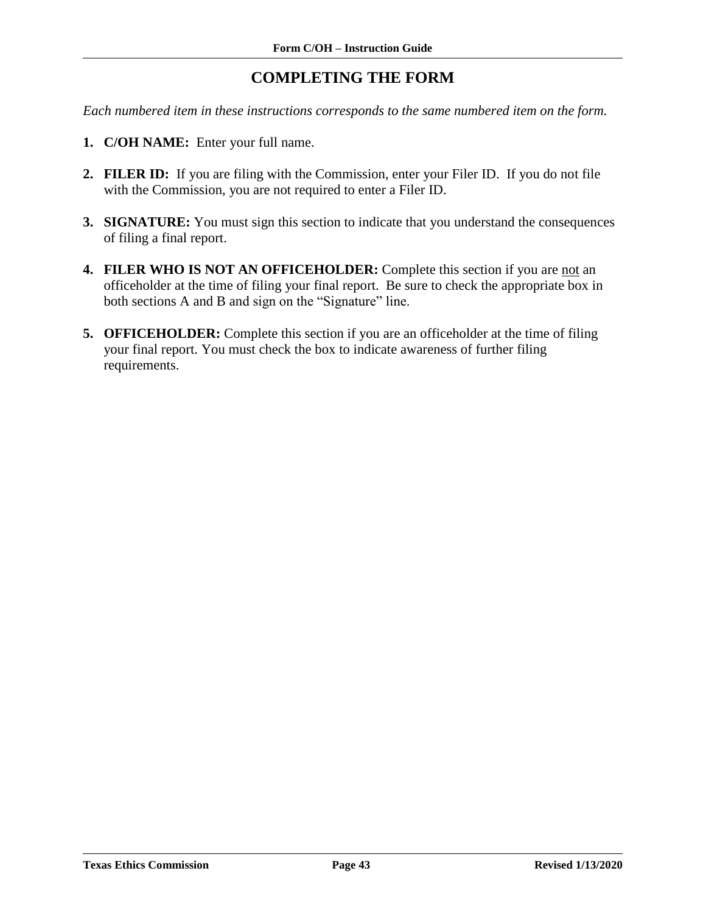# **COMPLETING THE FORM**

<span id="page-44-0"></span>*Each numbered item in these instructions corresponds to the same numbered item on the form.*

- **1. C/OH NAME:** Enter your full name.
- **2. FILER ID:** If you are filing with the Commission, enter your Filer ID. If you do not file with the Commission, you are not required to enter a Filer ID.
- **3. SIGNATURE:** You must sign this section to indicate that you understand the consequences of filing a final report.
- **4. FILER WHO IS NOT AN OFFICEHOLDER:** Complete this section if you are not an officeholder at the time of filing your final report. Be sure to check the appropriate box in both sections A and B and sign on the "Signature" line.
- **5. OFFICEHOLDER:** Complete this section if you are an officeholder at the time of filing your final report. You must check the box to indicate awareness of further filing requirements.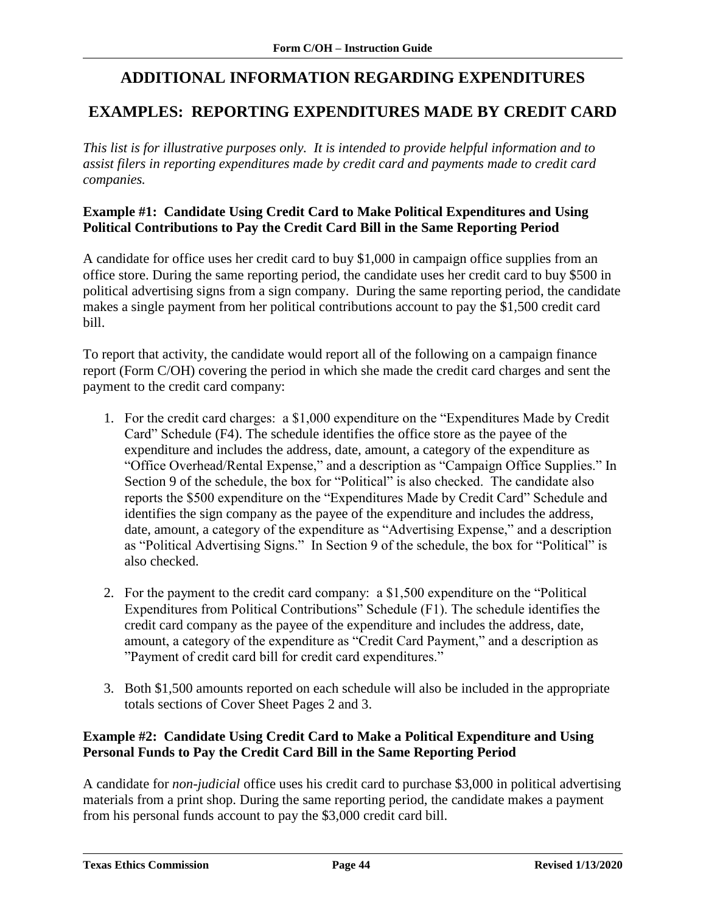# **ADDITIONAL INFORMATION REGARDING EXPENDITURES**

### <span id="page-45-1"></span><span id="page-45-0"></span>**EXAMPLES: REPORTING EXPENDITURES MADE BY CREDIT CARD**

*This list is for illustrative purposes only. It is intended to provide helpful information and to assist filers in reporting expenditures made by credit card and payments made to credit card companies.*

#### **Example #1: Candidate Using Credit Card to Make Political Expenditures and Using Political Contributions to Pay the Credit Card Bill in the Same Reporting Period**

A candidate for office uses her credit card to buy \$1,000 in campaign office supplies from an office store. During the same reporting period, the candidate uses her credit card to buy \$500 in political advertising signs from a sign company. During the same reporting period, the candidate makes a single payment from her political contributions account to pay the \$1,500 credit card bill.

To report that activity, the candidate would report all of the following on a campaign finance report (Form C/OH) covering the period in which she made the credit card charges and sent the payment to the credit card company:

- 1. For the credit card charges: a \$1,000 expenditure on the "Expenditures Made by Credit Card" Schedule (F4). The schedule identifies the office store as the payee of the expenditure and includes the address, date, amount, a category of the expenditure as "Office Overhead/Rental Expense," and a description as "Campaign Office Supplies." In Section 9 of the schedule, the box for "Political" is also checked. The candidate also reports the \$500 expenditure on the "Expenditures Made by Credit Card" Schedule and identifies the sign company as the payee of the expenditure and includes the address, date, amount, a category of the expenditure as "Advertising Expense," and a description as "Political Advertising Signs." In Section 9 of the schedule, the box for "Political" is also checked.
- 2. For the payment to the credit card company: a \$1,500 expenditure on the "Political Expenditures from Political Contributions" Schedule (F1). The schedule identifies the credit card company as the payee of the expenditure and includes the address, date, amount, a category of the expenditure as "Credit Card Payment," and a description as "Payment of credit card bill for credit card expenditures."
- 3. Both \$1,500 amounts reported on each schedule will also be included in the appropriate totals sections of Cover Sheet Pages 2 and 3.

### **Example #2: Candidate Using Credit Card to Make a Political Expenditure and Using Personal Funds to Pay the Credit Card Bill in the Same Reporting Period**

A candidate for *non-judicial* office uses his credit card to purchase \$3,000 in political advertising materials from a print shop. During the same reporting period, the candidate makes a payment from his personal funds account to pay the \$3,000 credit card bill.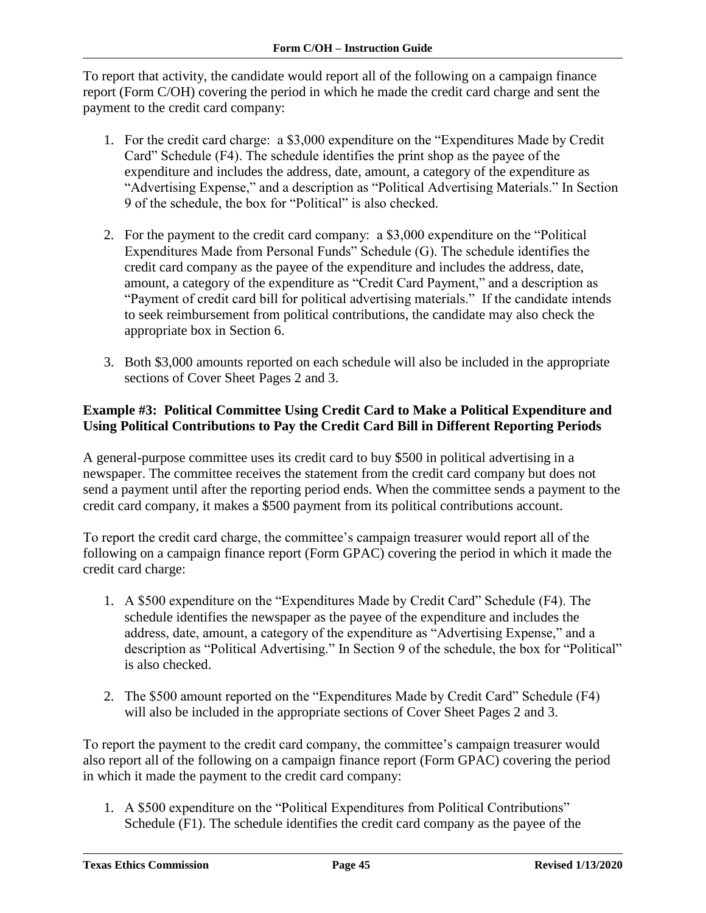To report that activity, the candidate would report all of the following on a campaign finance report (Form C/OH) covering the period in which he made the credit card charge and sent the payment to the credit card company:

- 1. For the credit card charge: a \$3,000 expenditure on the "Expenditures Made by Credit Card" Schedule (F4). The schedule identifies the print shop as the payee of the expenditure and includes the address, date, amount, a category of the expenditure as "Advertising Expense," and a description as "Political Advertising Materials." In Section 9 of the schedule, the box for "Political" is also checked.
- 2. For the payment to the credit card company: a \$3,000 expenditure on the "Political Expenditures Made from Personal Funds" Schedule (G). The schedule identifies the credit card company as the payee of the expenditure and includes the address, date, amount, a category of the expenditure as "Credit Card Payment," and a description as "Payment of credit card bill for political advertising materials." If the candidate intends to seek reimbursement from political contributions, the candidate may also check the appropriate box in Section 6.
- 3. Both \$3,000 amounts reported on each schedule will also be included in the appropriate sections of Cover Sheet Pages 2 and 3.

#### **Example #3: Political Committee Using Credit Card to Make a Political Expenditure and Using Political Contributions to Pay the Credit Card Bill in Different Reporting Periods**

A general-purpose committee uses its credit card to buy \$500 in political advertising in a newspaper. The committee receives the statement from the credit card company but does not send a payment until after the reporting period ends. When the committee sends a payment to the credit card company, it makes a \$500 payment from its political contributions account.

To report the credit card charge, the committee's campaign treasurer would report all of the following on a campaign finance report (Form GPAC) covering the period in which it made the credit card charge:

- 1. A \$500 expenditure on the "Expenditures Made by Credit Card" Schedule (F4). The schedule identifies the newspaper as the payee of the expenditure and includes the address, date, amount, a category of the expenditure as "Advertising Expense," and a description as "Political Advertising." In Section 9 of the schedule, the box for "Political" is also checked.
- 2. The \$500 amount reported on the "Expenditures Made by Credit Card" Schedule (F4) will also be included in the appropriate sections of Cover Sheet Pages 2 and 3.

To report the payment to the credit card company, the committee's campaign treasurer would also report all of the following on a campaign finance report (Form GPAC) covering the period in which it made the payment to the credit card company:

1. A \$500 expenditure on the "Political Expenditures from Political Contributions" Schedule (F1). The schedule identifies the credit card company as the payee of the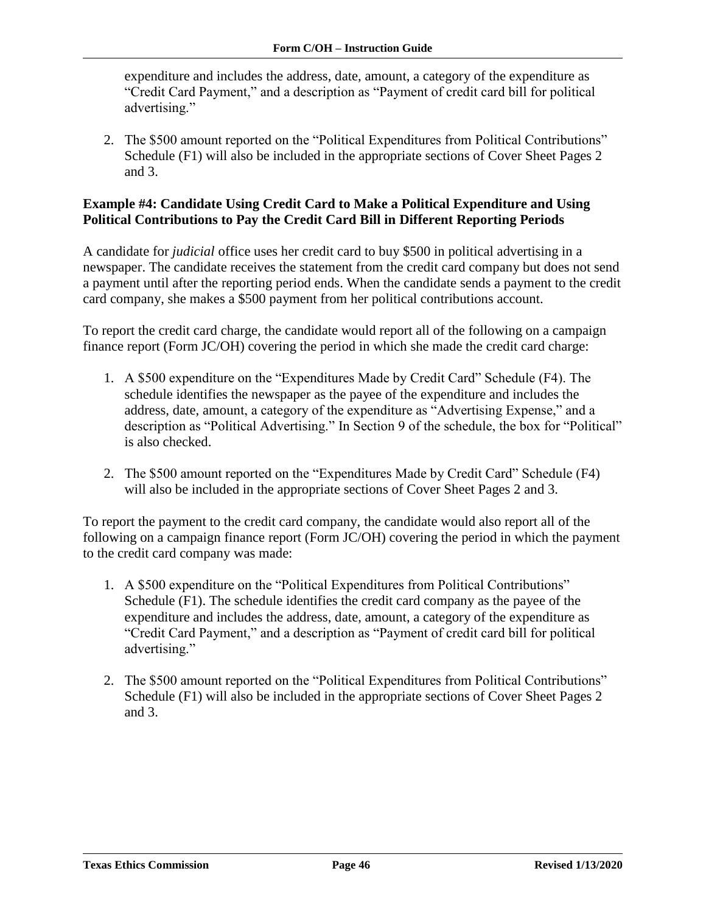expenditure and includes the address, date, amount, a category of the expenditure as "Credit Card Payment," and a description as "Payment of credit card bill for political advertising."

2. The \$500 amount reported on the "Political Expenditures from Political Contributions" Schedule (F1) will also be included in the appropriate sections of Cover Sheet Pages 2 and 3.

#### **Example #4: Candidate Using Credit Card to Make a Political Expenditure and Using Political Contributions to Pay the Credit Card Bill in Different Reporting Periods**

A candidate for *judicial* office uses her credit card to buy \$500 in political advertising in a newspaper. The candidate receives the statement from the credit card company but does not send a payment until after the reporting period ends. When the candidate sends a payment to the credit card company, she makes a \$500 payment from her political contributions account.

To report the credit card charge, the candidate would report all of the following on a campaign finance report (Form JC/OH) covering the period in which she made the credit card charge:

- 1. A \$500 expenditure on the "Expenditures Made by Credit Card" Schedule (F4). The schedule identifies the newspaper as the payee of the expenditure and includes the address, date, amount, a category of the expenditure as "Advertising Expense," and a description as "Political Advertising." In Section 9 of the schedule, the box for "Political" is also checked.
- 2. The \$500 amount reported on the "Expenditures Made by Credit Card" Schedule (F4) will also be included in the appropriate sections of Cover Sheet Pages 2 and 3.

To report the payment to the credit card company, the candidate would also report all of the following on a campaign finance report (Form JC/OH) covering the period in which the payment to the credit card company was made:

- 1. A \$500 expenditure on the "Political Expenditures from Political Contributions" Schedule (F1). The schedule identifies the credit card company as the payee of the expenditure and includes the address, date, amount, a category of the expenditure as "Credit Card Payment," and a description as "Payment of credit card bill for political advertising."
- 2. The \$500 amount reported on the "Political Expenditures from Political Contributions" Schedule (F1) will also be included in the appropriate sections of Cover Sheet Pages 2 and 3.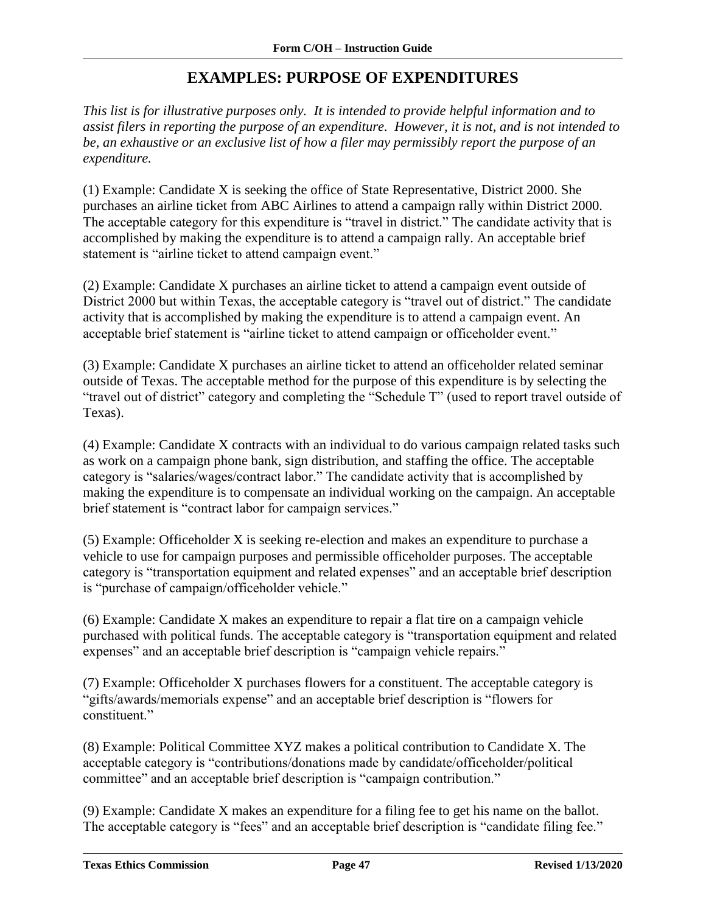## **EXAMPLES: PURPOSE OF EXPENDITURES**

<span id="page-48-0"></span>*This list is for illustrative purposes only. It is intended to provide helpful information and to assist filers in reporting the purpose of an expenditure. However, it is not, and is not intended to be, an exhaustive or an exclusive list of how a filer may permissibly report the purpose of an expenditure.*

(1) Example: Candidate X is seeking the office of State Representative, District 2000. She purchases an airline ticket from ABC Airlines to attend a campaign rally within District 2000. The acceptable category for this expenditure is "travel in district." The candidate activity that is accomplished by making the expenditure is to attend a campaign rally. An acceptable brief statement is "airline ticket to attend campaign event."

(2) Example: Candidate X purchases an airline ticket to attend a campaign event outside of District 2000 but within Texas, the acceptable category is "travel out of district." The candidate activity that is accomplished by making the expenditure is to attend a campaign event. An acceptable brief statement is "airline ticket to attend campaign or officeholder event."

(3) Example: Candidate X purchases an airline ticket to attend an officeholder related seminar outside of Texas. The acceptable method for the purpose of this expenditure is by selecting the "travel out of district" category and completing the "Schedule T" (used to report travel outside of Texas).

(4) Example: Candidate X contracts with an individual to do various campaign related tasks such as work on a campaign phone bank, sign distribution, and staffing the office. The acceptable category is "salaries/wages/contract labor." The candidate activity that is accomplished by making the expenditure is to compensate an individual working on the campaign. An acceptable brief statement is "contract labor for campaign services."

(5) Example: Officeholder X is seeking re-election and makes an expenditure to purchase a vehicle to use for campaign purposes and permissible officeholder purposes. The acceptable category is "transportation equipment and related expenses" and an acceptable brief description is "purchase of campaign/officeholder vehicle."

(6) Example: Candidate X makes an expenditure to repair a flat tire on a campaign vehicle purchased with political funds. The acceptable category is "transportation equipment and related expenses" and an acceptable brief description is "campaign vehicle repairs."

(7) Example: Officeholder X purchases flowers for a constituent. The acceptable category is "gifts/awards/memorials expense" and an acceptable brief description is "flowers for constituent."

(8) Example: Political Committee XYZ makes a political contribution to Candidate X. The acceptable category is "contributions/donations made by candidate/officeholder/political committee" and an acceptable brief description is "campaign contribution."

(9) Example: Candidate X makes an expenditure for a filing fee to get his name on the ballot. The acceptable category is "fees" and an acceptable brief description is "candidate filing fee."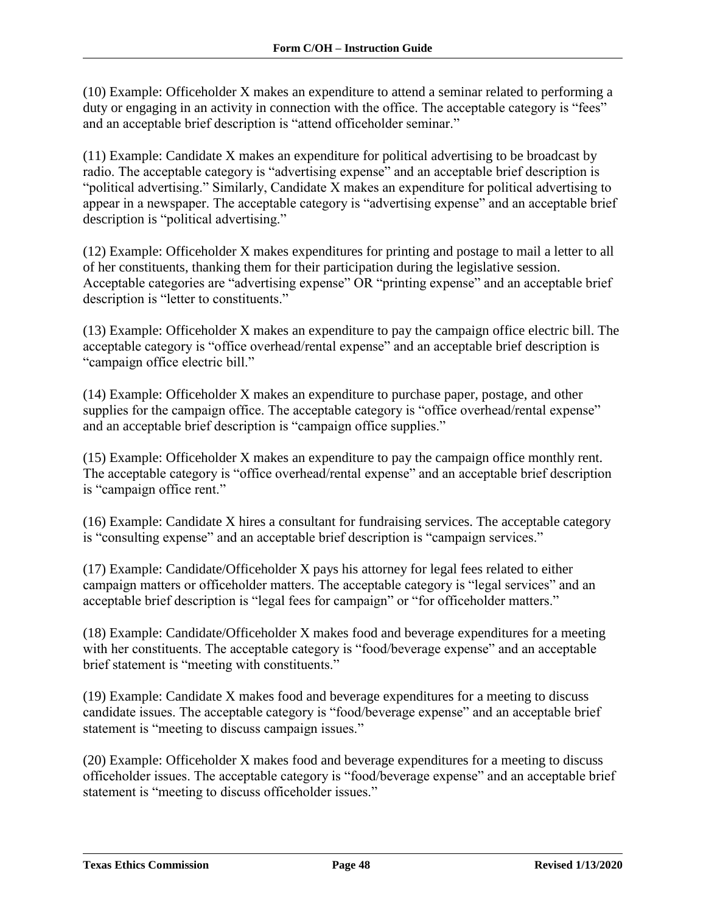(10) Example: Officeholder X makes an expenditure to attend a seminar related to performing a duty or engaging in an activity in connection with the office. The acceptable category is "fees" and an acceptable brief description is "attend officeholder seminar."

(11) Example: Candidate X makes an expenditure for political advertising to be broadcast by radio. The acceptable category is "advertising expense" and an acceptable brief description is "political advertising." Similarly, Candidate X makes an expenditure for political advertising to appear in a newspaper. The acceptable category is "advertising expense" and an acceptable brief description is "political advertising."

(12) Example: Officeholder X makes expenditures for printing and postage to mail a letter to all of her constituents, thanking them for their participation during the legislative session. Acceptable categories are "advertising expense" OR "printing expense" and an acceptable brief description is "letter to constituents."

(13) Example: Officeholder X makes an expenditure to pay the campaign office electric bill. The acceptable category is "office overhead/rental expense" and an acceptable brief description is "campaign office electric bill."

(14) Example: Officeholder X makes an expenditure to purchase paper, postage, and other supplies for the campaign office. The acceptable category is "office overhead/rental expense" and an acceptable brief description is "campaign office supplies."

(15) Example: Officeholder X makes an expenditure to pay the campaign office monthly rent. The acceptable category is "office overhead/rental expense" and an acceptable brief description is "campaign office rent."

(16) Example: Candidate X hires a consultant for fundraising services. The acceptable category is "consulting expense" and an acceptable brief description is "campaign services."

(17) Example: Candidate/Officeholder X pays his attorney for legal fees related to either campaign matters or officeholder matters. The acceptable category is "legal services" and an acceptable brief description is "legal fees for campaign" or "for officeholder matters."

(18) Example: Candidate/Officeholder X makes food and beverage expenditures for a meeting with her constituents. The acceptable category is "food/beverage expense" and an acceptable brief statement is "meeting with constituents."

(19) Example: Candidate X makes food and beverage expenditures for a meeting to discuss candidate issues. The acceptable category is "food/beverage expense" and an acceptable brief statement is "meeting to discuss campaign issues."

(20) Example: Officeholder X makes food and beverage expenditures for a meeting to discuss officeholder issues. The acceptable category is "food/beverage expense" and an acceptable brief statement is "meeting to discuss officeholder issues."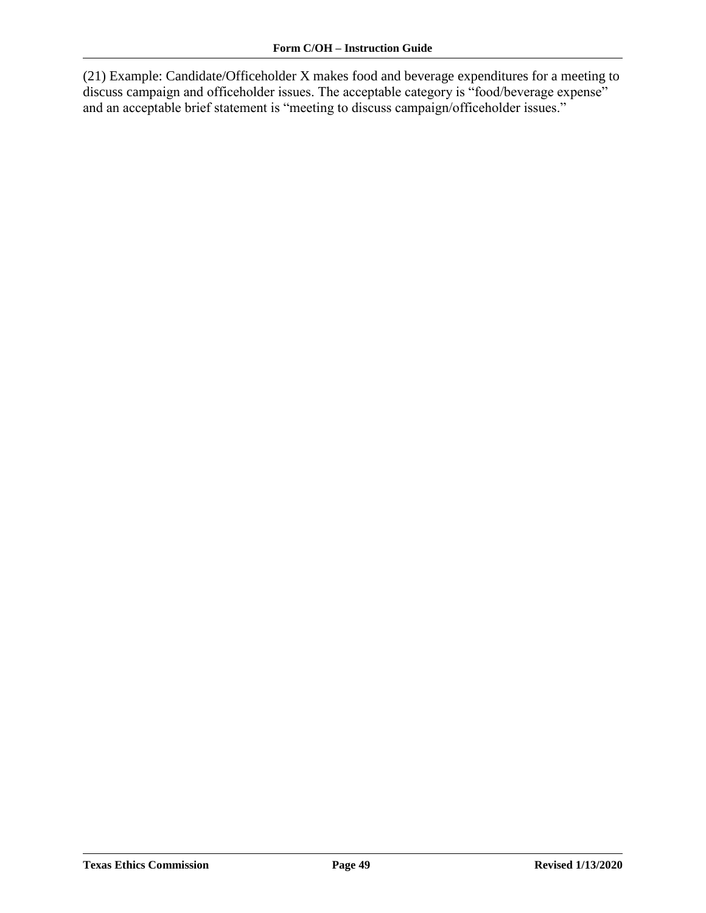(21) Example: Candidate/Officeholder X makes food and beverage expenditures for a meeting to discuss campaign and officeholder issues. The acceptable category is "food/beverage expense" and an acceptable brief statement is "meeting to discuss campaign/officeholder issues."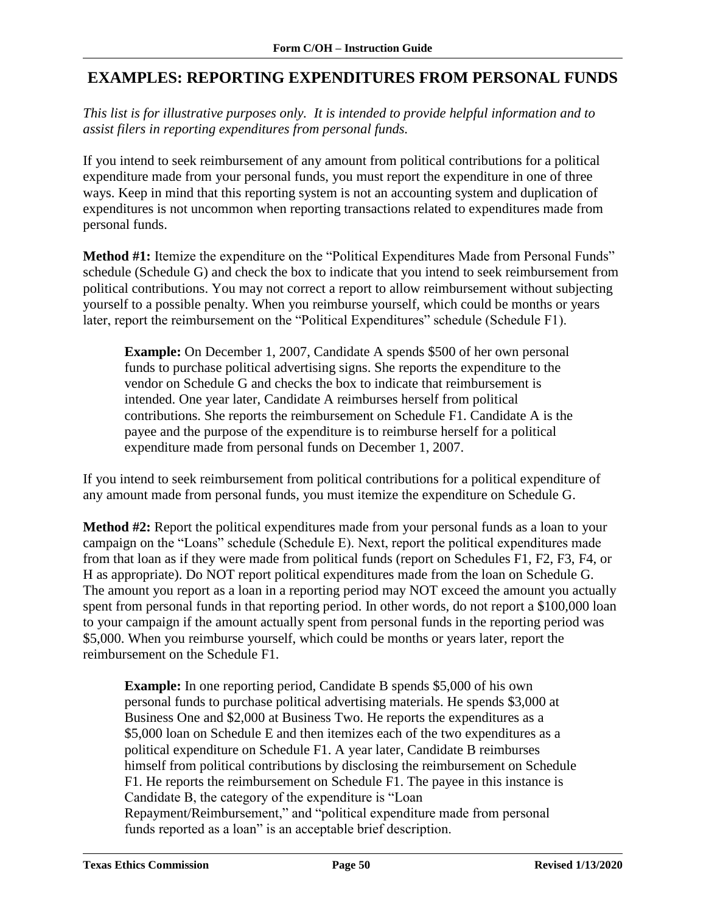### <span id="page-51-0"></span>**EXAMPLES: REPORTING EXPENDITURES FROM PERSONAL FUNDS**

*This list is for illustrative purposes only. It is intended to provide helpful information and to assist filers in reporting expenditures from personal funds.* 

If you intend to seek reimbursement of any amount from political contributions for a political expenditure made from your personal funds, you must report the expenditure in one of three ways. Keep in mind that this reporting system is not an accounting system and duplication of expenditures is not uncommon when reporting transactions related to expenditures made from personal funds.

**Method #1:** Itemize the expenditure on the "Political Expenditures Made from Personal Funds" schedule (Schedule G) and check the box to indicate that you intend to seek reimbursement from political contributions. You may not correct a report to allow reimbursement without subjecting yourself to a possible penalty. When you reimburse yourself, which could be months or years later, report the reimbursement on the "Political Expenditures" schedule (Schedule F1).

**Example:** On December 1, 2007, Candidate A spends \$500 of her own personal funds to purchase political advertising signs. She reports the expenditure to the vendor on Schedule G and checks the box to indicate that reimbursement is intended. One year later, Candidate A reimburses herself from political contributions. She reports the reimbursement on Schedule F1. Candidate A is the payee and the purpose of the expenditure is to reimburse herself for a political expenditure made from personal funds on December 1, 2007.

If you intend to seek reimbursement from political contributions for a political expenditure of any amount made from personal funds, you must itemize the expenditure on Schedule G.

**Method #2:** Report the political expenditures made from your personal funds as a loan to your campaign on the "Loans" schedule (Schedule E). Next, report the political expenditures made from that loan as if they were made from political funds (report on Schedules F1, F2, F3, F4, or H as appropriate). Do NOT report political expenditures made from the loan on Schedule G. The amount you report as a loan in a reporting period may NOT exceed the amount you actually spent from personal funds in that reporting period. In other words, do not report a \$100,000 loan to your campaign if the amount actually spent from personal funds in the reporting period was \$5,000. When you reimburse yourself, which could be months or years later, report the reimbursement on the Schedule F1.

**Example:** In one reporting period, Candidate B spends \$5,000 of his own personal funds to purchase political advertising materials. He spends \$3,000 at Business One and \$2,000 at Business Two. He reports the expenditures as a \$5,000 loan on Schedule E and then itemizes each of the two expenditures as a political expenditure on Schedule F1. A year later, Candidate B reimburses himself from political contributions by disclosing the reimbursement on Schedule F1. He reports the reimbursement on Schedule F1. The payee in this instance is Candidate B, the category of the expenditure is "Loan Repayment/Reimbursement," and "political expenditure made from personal funds reported as a loan" is an acceptable brief description.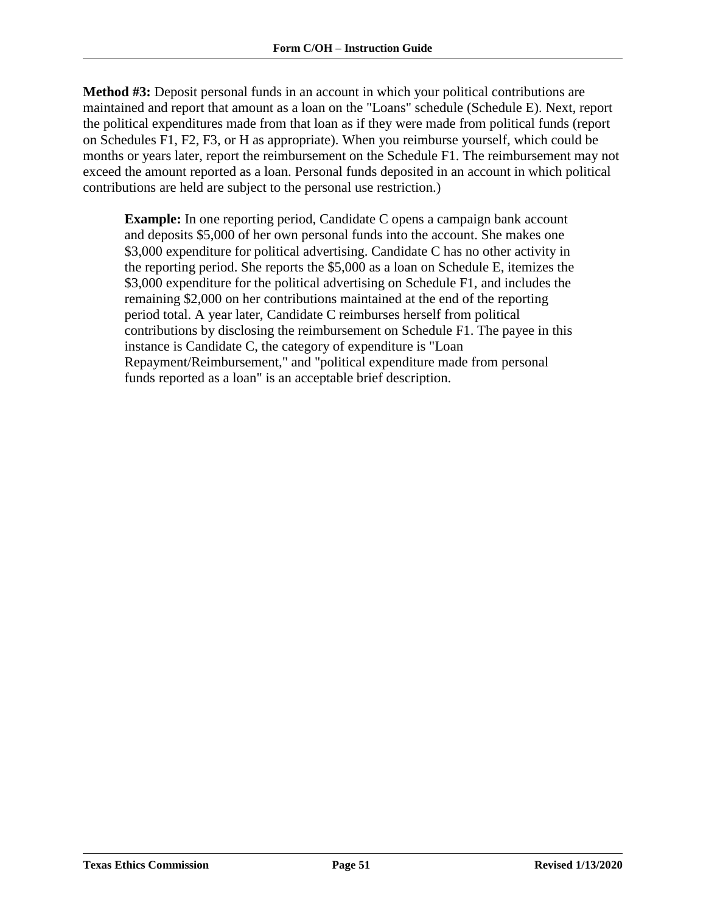**Method #3:** Deposit personal funds in an account in which your political contributions are maintained and report that amount as a loan on the "Loans" schedule (Schedule E). Next, report the political expenditures made from that loan as if they were made from political funds (report on Schedules F1, F2, F3, or H as appropriate). When you reimburse yourself, which could be months or years later, report the reimbursement on the Schedule F1. The reimbursement may not exceed the amount reported as a loan. Personal funds deposited in an account in which political contributions are held are subject to the personal use restriction.)

**Example:** In one reporting period, Candidate C opens a campaign bank account and deposits \$5,000 of her own personal funds into the account. She makes one \$3,000 expenditure for political advertising. Candidate C has no other activity in the reporting period. She reports the \$5,000 as a loan on Schedule E, itemizes the \$3,000 expenditure for the political advertising on Schedule F1, and includes the remaining \$2,000 on her contributions maintained at the end of the reporting period total. A year later, Candidate C reimburses herself from political contributions by disclosing the reimbursement on Schedule F1. The payee in this instance is Candidate C, the category of expenditure is "Loan Repayment/Reimbursement," and "political expenditure made from personal funds reported as a loan" is an acceptable brief description.